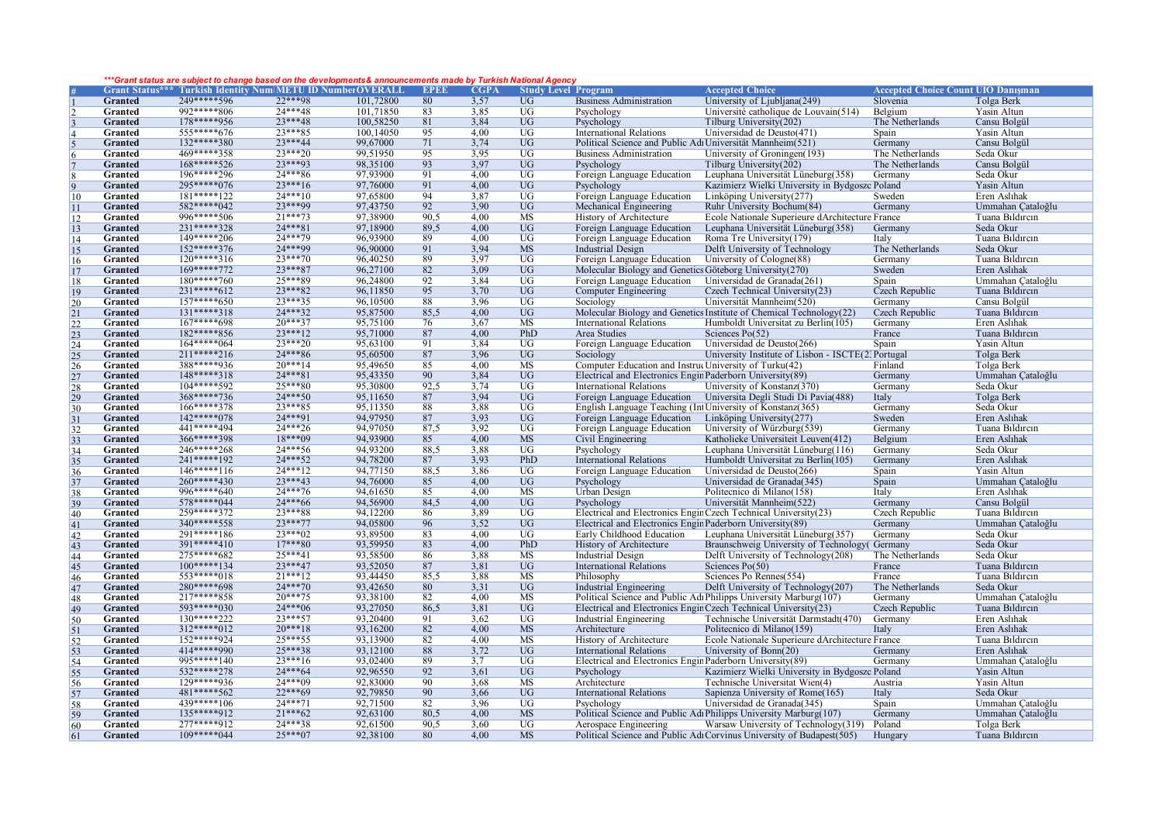## *\*\*\*Grant status are subject to change based on the developments& announcements made by Turkish National Agency*

|                                               |                |                             | <b>Grant Status*** Turkish Identity Num METU ID Number OVERALL</b> |           | <b>EPEE</b>     | <b>CGPA</b>  | <b>Study Level Program</b> |                                                                 | <b>Accepted Choice</b>                                                | <b>Accepted Choice Count UIO Danisman</b> |                   |
|-----------------------------------------------|----------------|-----------------------------|--------------------------------------------------------------------|-----------|-----------------|--------------|----------------------------|-----------------------------------------------------------------|-----------------------------------------------------------------------|-------------------------------------------|-------------------|
|                                               | <b>Granted</b> | 249*****596                 | $22***98$                                                          | 101,72800 | 80              | 3.57         | $\overline{UG}$            | <b>Business Administration</b>                                  | University of Ljubljana(249)                                          | Slovenia                                  | Tolga Berk        |
|                                               | <b>Granted</b> | 992*****806                 | $74***48$                                                          | 101,71850 | 83              | 3,85         | $\overline{UG}$            | Psychology                                                      | Université catholique de Louvain(514)                                 | Belgium                                   | Yasin Altun       |
|                                               |                | 178*****956                 | $23***48$                                                          |           |                 |              |                            |                                                                 |                                                                       |                                           |                   |
|                                               | Granted        |                             |                                                                    | 100,58250 | 81              | 3,84         | <b>UG</b>                  | Psychology                                                      | Tilburg University(202)                                               | The Netherlands                           | Cansu Bolgül      |
| $\vert 4$                                     | Granted        | $555****676$                | $23***85$                                                          | 100,14050 | 95              | 4.00         | $\overline{UG}$            | <b>International Relations</b>                                  | Universidad de Deusto(471)                                            | Spain                                     | Yasin Altun       |
|                                               | Granted        | 132*****380                 | $23***44$                                                          | 99,67000  | 71              | 3,74         | $\overline{UG}$            | Political Science and Public Adı Universität Mannheim(521)      |                                                                       | Germany                                   | Cansu Bolgül      |
| 6                                             | <b>Granted</b> | 469*****358                 | $23***20$                                                          | 99,51950  | 95              | 3,95         | $\overline{UG}$            | <b>Business Administration</b>                                  | University of Groningen(193)                                          | The Netherlands                           | Seda Okur         |
| $\overline{7}$                                | <b>Granted</b> | $168****526$                | $73***93$                                                          | 98,35100  | 93              | 3,97         | $\overline{UG}$            | Psychology                                                      | Tilburg University(202)                                               | The Netherlands                           | Cansu Bolgül      |
|                                               | Granted        | 196*****296                 | $24***86$                                                          | 97,93900  | 91              | 4,00         | $\overline{UG}$            | Foreign Language Education                                      | Leuphana Universität Lüneburg(358)                                    | Germany                                   | Seda Okur         |
| $\overline{q}$                                | Granted        | $295****076$                | $23***16$                                                          | 97,76000  | 91              | 4.00         | UG                         | Psychology                                                      | Kazimierz Wielki University in Bydgoszc Poland                        |                                           | Yasin Altun       |
| 10                                            | Granted        | 181*****122                 | $24***10$                                                          | 97,65800  | 94              | 3,87         | $\overline{UG}$            | Foreign Language Education                                      | Linköping University(277)                                             | Sweden                                    | Eren Aslıhak      |
|                                               | <b>Granted</b> | 582*****042                 | 23***99                                                            | 97,43750  | 92              | 3,90         | $\overline{UG}$            | Mechanical Engineering                                          | Ruhr University Bochum(84)                                            | Germany                                   | Ummahan Cataloğlu |
| <sup>11</sup>                                 | Granted        | 996*****506                 | $21***73$                                                          | 97,38900  |                 |              | MS                         |                                                                 |                                                                       |                                           | Tuana Bildircin   |
| <sup>12</sup>                                 |                |                             | $24***81$                                                          |           | 90,5            | 4,00         |                            | History of Architecture                                         | Ecole Nationale Superieure dArchitecture France                       |                                           |                   |
| 13                                            | Granted        | 231*****328                 |                                                                    | 97,18900  | 89,5            | 4,00         | $\overline{UG}$            | Foreign Language Education                                      | Leuphana Universität Lüneburg(358)                                    | Germany                                   | Seda Okur         |
| 14                                            | Granted        | $149****206$                | $24***79$                                                          | 96,93900  | 89              | 4.00         | $\overline{UG}$            | Foreign Language Education                                      | Roma Tre University (179)                                             | Italy                                     | Tuana Bildircin   |
| 15                                            | <b>Granted</b> | $152****376$                | 24***99                                                            | 96,90000  | 91              | 3.94         | <b>MS</b>                  | <b>Industrial Design</b>                                        | Delft University of Technology                                        | The Netherlands                           | Seda Okur         |
| <sup>16</sup>                                 | Granted        | $120****316$                | $23***70$                                                          | 96,40250  | 89              | 3,97         | $\overline{UG}$            | Foreign Language Education                                      | University of Cologne(88)                                             | Germany                                   | Tuana Bildircin   |
| <sup>17</sup>                                 | Granted        | 169*****772                 | $23***87$                                                          | 96,27100  | 82              | 3,09         | UG                         | Molecular Biology and Genetics Göteborg University(270)         |                                                                       | Sweden                                    | Eren Aslıhak      |
| 18                                            | Granted        | $180****760$                | 25***89                                                            | 96,24800  | 92              | 3,84         | $\overline{UG}$            | Foreign Language Education                                      | Universidad de Granada(261)                                           | Spain                                     | Ummahan Çataloğlu |
| 19                                            | Granted        | $231****612$                | $23***82$                                                          | 96,11850  | 95              | 3,70         | UG                         | Computer Engineering                                            | Czech Technical University(23)                                        | Czech Republic                            | Tuana Bildircin   |
| 20                                            | Granted        | $157****650$                | $23***35$                                                          | 96,10500  | 88              | 3,96         | $\overline{UG}$            | Sociology                                                       | Universität Mannheim(520)                                             | Germany                                   | Cansu Bolgül      |
|                                               | <b>Granted</b> | 131*****318                 | $24***32$                                                          | 95,87500  | 85.5            | 4,00         | $\overline{UG}$            |                                                                 | Molecular Biology and Genetics Institute of Chemical Technology(22)   | Czech Republic                            | Tuana Bildircin   |
|                                               | Granted        | $167****698$                | $20***37$                                                          | 95,75100  | 76              | 3,67         | MS                         | <b>International Relations</b>                                  | Humboldt Universitat zu Berlin(105)                                   | Germany                                   | Eren Aslıhak      |
| $\frac{21}{22}$                               | Granted        | 182*****856                 | $23***12$                                                          | 95,71000  | 87              | 4,00         | PhD                        | Area Studies                                                    | Sciences $Po(52)$                                                     | France                                    | Tuana Bildircin   |
|                                               |                | $164****064$                | $23***20$                                                          | 95,63100  | 91              |              | $\overline{UG}$            | Foreign Language Education                                      |                                                                       |                                           | Yasin Altun       |
| 24                                            | Granted        | $211****216$                | $24***86$                                                          | 95,60500  | 87              | 3,84<br>3.96 | $\overline{UG}$            |                                                                 | Universidad de Deusto(266)                                            | Spain                                     | Tolga Berk        |
| $\begin{array}{r} 25 \\ 26 \\ 27 \end{array}$ | <b>Granted</b> |                             |                                                                    |           |                 |              |                            | Sociology                                                       | University Institute of Lisbon - ISCTE(2, Portugal                    |                                           |                   |
|                                               | Granted        | 388*****936                 | $20***14$                                                          | 95,49650  | 85              | 4.00         | <b>MS</b>                  | Computer Education and Instruc University of Turku(42)          |                                                                       | Finland                                   | Tolga Berk        |
|                                               | Granted        | 148*****318                 | $24***81$                                                          | 95,43350  | 90              | 3,84         | UG                         | Electrical and Electronics Engin Paderborn University(89)       |                                                                       | Germany                                   | Ummahan Çataloğlu |
| 28                                            | Granted        | 104*****592                 | $25***80$                                                          | 95,30800  | 92,5            | 3,74         | $\overline{UG}$            | <b>International Relations</b>                                  | University of Konstanz(370)                                           | Germany                                   | Seda Okur         |
| 29                                            | Granted        | 368*****736                 | $24***50$                                                          | 95,11650  | 87              | 3.94         | $\overline{UG}$            | Foreign Language Education                                      | Universita Degli Studi Di Pavia(488)                                  | Italy                                     | <b>Tolga Berk</b> |
| 30                                            | Granted        | 166*****378                 | $23***85$                                                          | 95.11350  | 88              | 3.88         | $\overline{UG}$            | English Language Teaching (Int University of Konstanz(365)      |                                                                       | Germany                                   | Seda Okur         |
| 31                                            | <b>Granted</b> | $142****078$                | $24***91$                                                          | 94,97950  | 87              | 3,93         | $\overline{UG}$            | Foreign Language Education Linköping University (277)           |                                                                       | Sweden                                    | Eren Aslıhak      |
|                                               | Granted        | 441 ***** 494               | $24***26$                                                          | 94,97050  | 87,5            | 3,92         | $\overline{UG}$            | Foreign Language Education                                      | University of Würzburg(539)                                           | Germany                                   | Tuana Bildircin   |
| $\frac{32}{33}$                               | Granted        | 366*****398                 | $18***09$                                                          | 94,93900  | 85              | 4,00         | <b>MS</b>                  | Civil Engineering                                               | Katholieke Universiteit Leuven(412)                                   | Belgium                                   | Eren Aslıhak      |
| 34                                            | Granted        | 246*****268                 | $24***56$                                                          | 94,93200  | 88.5            | 3,88         | $\overline{UG}$            | Psychology                                                      | Leuphana Universität Lüneburg(116)                                    | Germany                                   | Seda Okur         |
| 35                                            | <b>Granted</b> | 241*****192                 | $24***52$                                                          | 94,78200  | 87              | 3.93         | PhD                        | International Relations                                         | Humboldt Universitat zu Berlin(105)                                   | Germany                                   | Eren Aslıhak      |
| 36                                            | Granted        | $146****116$                | 24***12                                                            | 94,77150  | 88,5            | 3,86         | $\overline{UG}$            | Foreign Language Education                                      | Universidad de Deusto(266)                                            | Spain                                     | Yasin Altun       |
| 37                                            | Granted        | $260****430$                | $23***43$                                                          | 94,76000  | 85              | 4,00         | UG                         | Psychology                                                      | Universidad de Granada(345)                                           | Spain                                     | Ummahan Cataloğlu |
| 38                                            | Granted        | 996*****640                 | $24***76$                                                          | 94,61650  | 85              | 4,00         | <b>MS</b>                  | <b>Urban Design</b>                                             | Politecnico di Milano(158)                                            | Italy                                     | Eren Aslıhak      |
|                                               | Granted        | 578*****044                 | $24***66$                                                          | 94,56900  | 84.5            | 4.00         | $\overline{UG}$            | Psychology                                                      | Universität Mannheim(522)                                             | Germany                                   | Cansu Bolgül      |
| 39                                            | Granted        | 259*****372                 | $23***88$                                                          | 94,12200  | 86              | 3,89         | $\overline{UG}$            | Electrical and Electronics Engin Czech Technical University(23) |                                                                       | Czech Republic                            | Tuana Bildircin   |
| 40                                            | <b>Granted</b> | 340*****558                 | 23***77                                                            | 94,05800  | 96              | 3,52         | $\overline{UG}$            | Electrical and Electronics Engin Paderborn University(89)       |                                                                       | Germany                                   | Ummahan Çataloğlu |
| 41                                            |                |                             | $23***02$                                                          |           |                 |              |                            |                                                                 |                                                                       |                                           |                   |
| 42                                            | Granted        | 291*****186<br>$391****410$ | $17***80$                                                          | 93,89500  | 83              | 4,00         | $\overline{UG}$            | Early Childhood Education                                       | Leuphana Universität Lüneburg(357)                                    | Germany                                   | Seda Okur         |
| 43                                            | Granted        |                             |                                                                    | 93,59950  | 83              | 4,00         | PhD                        | History of Architecture                                         | Braunschweig University of Technology (Germany                        |                                           | Seda Okur         |
| 44                                            | Granted        | 275*****682                 | $25***41$                                                          | 93,58500  | 86              | 3.88         | MS                         | <b>Industrial Design</b>                                        | Delft University of Technology(208)                                   | The Netherlands                           | Seda Okur         |
| 45                                            | Granted        | $100****134$                | $23***47$                                                          | 93,52050  | 87              | 3,81         | UG                         | <b>International Relations</b>                                  | Sciences $Po(50)$                                                     | France                                    | Tuana Bildircin   |
| 46                                            | Granted        | 553*****018                 | $21***12$                                                          | 93,44450  | 85,5            | 3,88         | <b>MS</b>                  | Philosophy                                                      | Sciences Po Rennes(554)                                               | France                                    | Tuana Bildircin   |
| 47                                            | Granted        | 280*****698                 | $24***70$                                                          | 93,42650  | 80              | 3,31         | $\overline{UG}$            | Industrial Engineering                                          | Delft University of Technology(207)                                   | The Netherlands                           | Seda Okur         |
| 48                                            | <b>Granted</b> | 217*****858                 | $20***75$                                                          | 93,38100  | 82              | 4,00         | <b>MS</b>                  |                                                                 | Political Science and Public Adı Philipps University Marburg(107)     | Germany                                   | Ummahan Çataloğlu |
| 49                                            | <b>Granted</b> | $593****030$                | $24***06$                                                          | 93,27050  | 86.5            | 3,81         | $\overline{UG}$            | Electrical and Electronics Engin Czech Technical University(23) |                                                                       | Czech Republic                            | Tuana Bildircin   |
| 50                                            | Granted        | 130*****222                 | $23***57$                                                          | 93,20400  | 91              | 3,62         | $\overline{UG}$            | Industrial Engineering                                          | Technische Universität Darmstadt(470)                                 | Germany                                   | Eren Aslıhak      |
|                                               | Granted        | $312****012$                | $20***18$                                                          | 93,16200  | 82              | 4,00         | <b>MS</b>                  | Architecture                                                    | Politecnico di Milano(159)                                            | Italy                                     | Eren Aslıhak      |
| $\frac{51}{52}$                               | Granted        | 152*****924                 | $25***55$                                                          | 93,13900  | 82              | 4,00         | MS                         | History of Architecture                                         | Ecole Nationale Superieure dArchitecture France                       |                                           | Tuana Bildircin   |
| 53                                            | <b>Granted</b> | 414*****990                 | $25***38$                                                          | 93,12100  | 88              | 3,72         | $\overline{UG}$            | <b>International Relations</b>                                  | University of $Bonn(20)$                                              | Germany                                   | Eren Aslıhak      |
| 54                                            | Granted        | 995*****140                 | $23***16$                                                          | 93,02400  | 89              | 3,7          | $\overline{UG}$            | Electrical and Electronics Engin Paderborn University(89)       |                                                                       | Germany                                   | Ummahan Çataloğlu |
| 55                                            | Granted        | 532*****278                 | $24***64$                                                          | 92,96550  | 92              | 3,61         | $\overline{UG}$            | Psychology                                                      | Kazimierz Wielki University in Bydgoszc Poland                        |                                           | Yasin Altun       |
|                                               | Granted        | 129*****936                 | $24***09$                                                          | 92,83000  | 90              | 3,68         | <b>MS</b>                  | Architecture                                                    | Technische Universitat Wien(4)                                        | Austria                                   | Yasin Altun       |
| $\frac{56}{57}$                               | Granted        | 481*****562                 | $22***69$                                                          | 92,79850  | 90              | 3,66         | $\overline{UG}$            | <b>International Relations</b>                                  | Sapienza University of Rome(165)                                      | Italy                                     | Seda Okur         |
|                                               |                | 439*****106                 | $24***71$                                                          | 92,71500  | $\overline{82}$ | 3,96         | $\overline{UG}$            |                                                                 |                                                                       |                                           |                   |
| 58                                            | Granted        |                             |                                                                    |           |                 |              |                            | Psychology                                                      | Universidad de Granada(345)                                           | Spain                                     | Ummahan Çataloğlu |
| 59                                            | Granted        | 135*****912                 | $21***62$                                                          | 92,63100  | 80,5            | 4,00         | <b>MS</b>                  |                                                                 | Political Science and Public Adı Philipps University Marburg (107)    | Germany                                   | Ummahan Cataloğlu |
| 60                                            | <b>Granted</b> | 277*****912                 | $24***38$                                                          | 92,61500  | 90,5            | 3,60         | $\overline{UG}$            | Aerospace Engineering                                           | Warsaw University of Technology(319)                                  | Poland                                    | Tolga Berk        |
| $\overline{61}$                               | <b>Granted</b> | $109****044$                | $25***07$                                                          | 92,38100  | 80              | 4.00         | <b>MS</b>                  |                                                                 | Political Science and Public Adı Corvinus University of Budapest(505) | Hungary                                   | Tuana Bildircin   |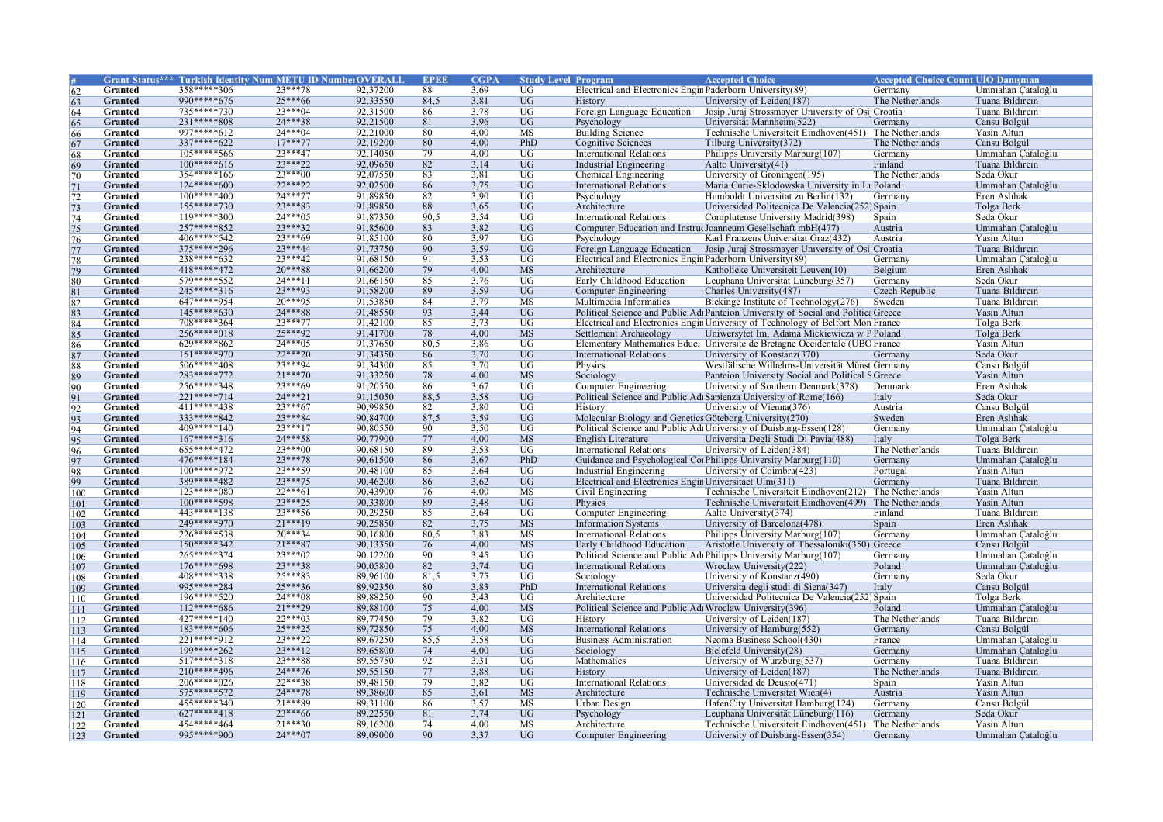|                 |                |              | <b>Grant Status*** Turkish Identity Num METU ID Number OVERALI</b> |          | <b>EPEI</b> | <b>CGPA</b> | <b>Study Level Program</b> |                                                           | <b>Accepted Choice</b>                                                             | <b>Accepted Choice Count UIO Danisman</b> |                   |
|-----------------|----------------|--------------|--------------------------------------------------------------------|----------|-------------|-------------|----------------------------|-----------------------------------------------------------|------------------------------------------------------------------------------------|-------------------------------------------|-------------------|
| 62              | Granted        | 358*****306  | $23***78$                                                          | 92,37200 | 88          | 3,69        | $\overline{UG}$            | Electrical and Electronics Engin Paderborn University(89) |                                                                                    | Germany                                   | Ummahan Cataloğlu |
| 63              | Granted        | 990*****676  | $25***66$                                                          | 92,33550 | 84,5        | 3,81        | $\overline{UG}$            | <b>History</b>                                            | University of Leiden(187)                                                          | The Netherlands                           | Tuana Bildircin   |
| 64              | Granted        | $735***730$  | $23***04$                                                          | 92,31500 | 86          | 3,78        | UG                         | Foreign Language Education                                | Josip Juraj Strossmayer University of Osij Croatia                                 |                                           | Tuana Bildircin   |
| 65              | Granted        | $231***808$  | $24***38$                                                          | 92,21500 | 81          | 3,96        | <b>UG</b>                  | Psychology                                                | Universität Mannheim(522)                                                          | Germany                                   | Cansu Bolgül      |
| 66              | Granted        | 997*****612  | $24***04$                                                          | 92,21000 | 80          | 4.00        | <b>MS</b>                  | <b>Building Science</b>                                   | Technische Universiteit Eindhoven(451)                                             | The Netherlands                           | Yasin Altun       |
| 67              | Granted        | 337*****622  | $17***77$                                                          | 92,19200 | 80          | 4.00        | PhD                        | <b>Cognitive Sciences</b>                                 | Tilburg University(372)                                                            | The Netherlands                           | Cansu Bolgül      |
| 68              | Granted        | 105*****566  | $23***47$                                                          | 92,14050 | 79          | 4.00        | <b>UG</b>                  | <b>International Relations</b>                            | Philipps University Marburg(107)                                                   | Germany                                   | Ummahan Çataloğlu |
| 69              | Granted        | $100****616$ | $23***22$                                                          | 92,09650 | 82          | 3.14        | <b>UG</b>                  | <b>Industrial Engineering</b>                             | Aalto University(41)                                                               | Finland                                   | Tuana Bildircin   |
| 70              | Granted        | 354*****166  | $23***00$                                                          | 92,07550 | 83          | 3,81        | $\overline{UG}$            | Chemical Engineering                                      | University of Groningen(195)                                                       | The Netherlands                           | Seda Okur         |
| 71              | Granted        | $124****600$ | $22***22$                                                          | 92,02500 | 86          | 3,75        | <b>UG</b>                  | <b>International Relations</b>                            | Maria Curie-Sklodowska University in Lt Poland                                     |                                           | Ummahan Cataloğlu |
|                 | Granted        | $100****400$ | $24***77$                                                          | 91,89850 | 82          | 3,90        | $\overline{UG}$            | Psychology                                                | Humboldt Universitat zu Berlin(132)                                                | Germany                                   | Eren Aslıhak      |
| $\frac{72}{73}$ | Granted        | 155*****730  | $23***83$                                                          | 91,89850 | 88          | 3,65        | <b>UG</b>                  | Architecture                                              | Universidad Politecnica De Valencia(252) Spain                                     |                                           | Tolga Berk        |
|                 | Granted        | $119****300$ | $24***05$                                                          | 91,87350 | 90.5        | 3,54        | UG                         | <b>International Relations</b>                            | Complutense University Madrid(398)                                                 | Spain                                     | Seda Okur         |
|                 | Granted        | 257*****852  | $23***32$                                                          | 91,85600 | 83          | 3,82        | <b>UG</b>                  |                                                           | Computer Education and InstrucJoanneum Gesellschaft mbH(477)                       | Austria                                   | Ummahan Çataloğlu |
| 75              | Granted        | 406*****542  | $23***69$                                                          | 91,85100 | 80          | 3.97        | $\overline{UG}$            | Psychology                                                | Karl Franzens Universitat Graz(432)                                                | Austria                                   | Yasin Altun       |
| 76              | Granted        | 375*****296  | $23***44$                                                          | 91,73750 | 90          | 3,59        | <b>UG</b>                  | Foreign Language Education                                | Josip Juraj Strossmayer University of Osij Croatia                                 |                                           | Tuana Bildircin   |
| $\frac{77}{78}$ | Granted        | 238*****632  | $23***42$                                                          | 91,68150 | 91          | 3,53        | <b>UG</b>                  |                                                           |                                                                                    | Germany                                   |                   |
|                 |                | 418*****472  | $20***88$                                                          |          |             |             |                            | Electrical and Electronics Engin Paderborn University(89) |                                                                                    |                                           | Ummahan Çataloğlu |
| 79              | Granted        | 579*****552  | $24***11$                                                          | 91,66200 | 79<br>85    | 4,00        | <b>MS</b>                  | Architecture                                              | Katholieke Universiteit Leuven(10)                                                 | Belgium                                   | Eren Aslıhak      |
| 80              | Granted        |              | $23***93$                                                          | 91,66150 |             | 3,76        | UG                         | Early Childhood Education                                 | Leuphana Universität Lüneburg(357)                                                 | Germany                                   | Seda Okur         |
| 81              | <b>Granted</b> | 245*****316  |                                                                    | 91,58200 | 89          | 3,59        | <b>UG</b>                  | <b>Computer Engineering</b>                               | Charles University(487)                                                            | <b>Czech Republic</b>                     | Tuana Bildircin   |
| 82              | Granted        | 647*****954  | $20***95$                                                          | 91,53850 | 84          | 3,79        | MS                         | Multimedia Informatics                                    | Blekinge Institute of Technology(276)                                              | Sweden                                    | Tuana Bildircin   |
| 83              | Granted        | $145****630$ | 24***88                                                            | 91,48550 | 93          | 3,44        | <b>UG</b>                  |                                                           | Political Science and Public Adı Panteion University of Social and Politica Greece |                                           | Yasin Altun       |
| 84              | Granted        | 708*****364  | $23***77$                                                          | 91,42100 | 85          | 3,73        | $\overline{UG}$            |                                                           | Electrical and Electronics Engin University of Technology of Belfort Mon France    |                                           | Tolga Berk        |
| 85              | Granted        | 256*****018  | 25***92                                                            | 91,41700 | 78          | 4,00        | <b>MS</b>                  | Settlement Archaeology                                    | Uniwersytet Im. Adama Mickiewicza w P Poland                                       |                                           | Tolga Berk        |
| 86              | Granted        | 629*****862  | $24***05$                                                          | 91,37650 | 80.5        | 3,86        | UG                         |                                                           | Elementary Mathematics Educ. Universite de Bretagne Occidentale (UBO France        |                                           | Yasin Altun       |
| 87              | Granted        | $151****970$ | $22***20$                                                          | 91,34350 | 86          | 3,70        | UG                         | <b>International Relations</b>                            | University of Konstanz(370)                                                        | Germany                                   | Seda Okur         |
| 88              | Granted        | $506****408$ | $23***94$                                                          | 91,34300 | 85          | 3,70        | <b>UG</b>                  | Physics                                                   | Westfälische Wilhelms-Universität Münst Germany                                    |                                           | Cansu Bolgül      |
| 89              | Granted        | 283*****772  | $21***70$                                                          | 91,33250 | 78          | 4,00        | <b>MS</b>                  | Sociology                                                 | Panteion University Social and Political SGreece                                   |                                           | Yasin Altun       |
| 90              | Granted        | 256*****348  | $23***69$                                                          | 91,20550 | 86          | 3,67        | <b>UG</b>                  | Computer Engineering                                      | University of Southern Denmark(378)                                                | Denmark                                   | Eren Aslıhak      |
| 91              | Granted        | 221*****714  | $24***21$                                                          | 91,15050 | 88.5        | 3,58        | UG                         |                                                           | Political Science and Public Adı Sapienza University of Rome(166)                  | Italy                                     | Seda Okur         |
| 92              | Granted        | $411****438$ | $23***67$                                                          | 90,99850 | 82          | 3,80        | $\overline{UG}$            | History                                                   | University of Vienna(376)                                                          | Austria                                   | Cansu Bolgül      |
| 93              | Granted        | 333*****842  | $23***84$                                                          | 90,84700 | 87,5        | 3,59        | <b>UG</b>                  | Molecular Biology and Genetics Göteborg University (270)  |                                                                                    | Sweden                                    | Eren Aslıhak      |
| 94              | Granted        | 409*****140  | $23***17$                                                          | 90,80550 | 90          | 3,50        | UG                         |                                                           | Political Science and Public Adı University of Duisburg-Essen(128)                 | Germany                                   | Ummahan Çataloğlu |
| 95              | Granted        | $167****316$ | 24***58                                                            | 90,77900 | 77          | 4,00        | <b>MS</b>                  | English Literature                                        | Universita Degli Studi Di Pavia(488)                                               | Italy                                     | Tolga Berk        |
| 96              | Granted        | 655*****472  | $23***00$                                                          | 90.68150 | 89          | 3,53        | $\overline{UG}$            | <b>International Relations</b>                            | University of Leiden(384)                                                          | The Netherlands                           | Tuana Bildircin   |
| 97              | Granted        | 476*****184  | $23***78$                                                          | 90,61500 | 86          | 3,67        | PhD                        |                                                           | Guidance and Psychological Corphilipps University Marburg(110)                     | Germany                                   | Ummahan Cataloğlu |
| 98              | Granted        | $100****972$ | 23***59                                                            | 90,48100 | 85          | 3,64        | UG                         | Industrial Engineering                                    | University of Coimbra(423)                                                         | Portugal                                  | Yasin Altun       |
| 99              | Granted        | 389*****482  | $23***75$                                                          | 90,46200 | 86          | 3,62        | <b>UG</b>                  | Electrical and Electronics Engin Universitaet Ulm(311)    |                                                                                    | Germany                                   | Tuana Bildircin   |
| 100             | Granted        | $123****080$ | $22***61$                                                          | 90,43900 | 76          | 4.00        | $\overline{\text{MS}}$     | Civil Engineering                                         | Technische Universiteit Eindhoven(212)                                             | The Netherlands                           | Yasin Altun       |
| 101             | Granted        | $100****598$ | $23***25$                                                          | 90,33800 | 89          | 3,48        | <b>UG</b>                  | Physics                                                   | Technische Universiteit Eindhoven(499)                                             | The Netherlands                           | Yasin Altun       |
| 102             | Granted        | 443*****138  | $23***56$                                                          | 90,29250 | 85          | 3,64        | $\overline{UG}$            | Computer Engineering                                      | Aalto University(374)                                                              | Finland                                   | Tuana Bildircin   |
| 103             | Granted        | 249*****970  | 21 *** 19                                                          | 90,25850 | 82          | 3,75        | <b>MS</b>                  | <b>Information Systems</b>                                | University of Barcelona(478)                                                       | Spain                                     | Eren Aslıhak      |
| 104             | Granted        | 226*****538  | $20***34$                                                          | 90.16800 | 80.5        | 3,83        | <b>MS</b>                  | <b>International Relations</b>                            | Philipps University Marburg(107)                                                   | Germany                                   | Ummahan Cataloğlu |
| 105             | Granted        | 150*****342  | $21***87$                                                          | 90,13350 | 76          | 4,00        | <b>MS</b>                  | Early Childhood Education                                 | Aristotle University of Thessaloniki(350) Greece                                   |                                           | Cansu Bolgül      |
| 106             | Granted        | 265*****374  | $23***02$                                                          | 90.12200 | 90          | 3,45        | $\overline{UG}$            |                                                           | Political Science and Public Adı Philipps University Marburg(107)                  | Germany                                   | Ummahan Çataloğlu |
| 107             | Granted        | $176****698$ | $23***38$                                                          | 90.05800 | 82          | 3,74        | <b>UG</b>                  | <b>International Relations</b>                            | Wroclaw University(222)                                                            | Poland                                    | Ummahan Cataloğlu |
| 108             | Granted        | 408*****338  | 25***83                                                            | 89,96100 | 81,5        | 3,75        | $\overline{UG}$            | Sociology                                                 | University of Konstanz(490)                                                        | Germany                                   | Seda Okur         |
| 109             | Granted        | 995*****284  | 25***36                                                            | 89,92350 | 80          | 3,83        | PhD                        | <b>International Relations</b>                            | Universita degli studi di Siena(347)                                               | Italy                                     | Cansu Bolgül      |
| 110             | Granted        | 196*****520  | $24***08$                                                          | 89,88250 | 90          | 3,43        | $\overline{UG}$            | Architecture                                              | Universidad Politecnica De Valencia(252) Spain                                     |                                           | Tolga Berk        |
| 111             | Granted        | $112****686$ | 21 *** 29                                                          | 89,88100 | 75          | 4,00        | <b>MS</b>                  | Political Science and Public Adı Wroclaw University (396) |                                                                                    | Poland                                    | Ummahan Çataloğlu |
| 112             | Granted        | 427*****140  | $22***03$                                                          | 89,77450 | 79          | 3.82        | $\overline{UG}$            | History                                                   | University of Leiden(187)                                                          | The Netherlands                           | Tuana Bildircin   |
| 113             | Granted        | $183****606$ | $25***25$                                                          | 89,72850 | 75          | 4,00        | <b>MS</b>                  | <b>International Relations</b>                            | University of Hamburg(552)                                                         | Germany                                   | Cansu Bolgül      |
| 114             | Granted        | 221*****912  | $23***22$                                                          | 89,67250 | 85,5        | 3,58        | <b>UG</b>                  | <b>Business Administration</b>                            | Neoma Business School(430)                                                         | France                                    | Ummahan Cataloğlu |
| 115             | Granted        | 199*****262  | $23***12$                                                          | 89,65800 | 74          | 4,00        | <b>UG</b>                  | Sociology                                                 | Bielefeld University(28)                                                           | Germany                                   | Ummahan Çataloğlu |
| 116             | Granted        | $517****318$ | 23***88                                                            | 89,55750 | 92          | 3.31        | $\overline{UG}$            | Mathematics                                               | University of Würzburg(537)                                                        | Germany                                   | Tuana Bildircin   |
| 117             | Granted        | 210*****496  | $24***76$                                                          | 89,55150 | 77          | 3,88        | $\overline{UG}$            | History                                                   | University of Leiden(187)                                                          | The Netherlands                           | Tuana Bildircin   |
| 118             | Granted        | $206****026$ | $22***38$                                                          | 89,48150 | 79          | 3,82        | $\overline{UG}$            | <b>International Relations</b>                            | Universidad de Deusto(471)                                                         | Spain                                     | Yasin Altun       |
| 119             | Granted        | 575*****572  | $24***78$                                                          | 89,38600 | 85          | 3,61        | <b>MS</b>                  | Architecture                                              | Technische Universitat Wien(4)                                                     | Austria                                   | Yasin Altun       |
| 120             | Granted        | 455*****340  | 21 *** 89                                                          | 89,31100 | 86          | 3,57        | <b>MS</b>                  | Urban Design                                              | HafenCity Universitat Hamburg (124)                                                | Germany                                   | Cansu Bolgül      |
| 121             | Granted        | 627*****418  | $23***66$                                                          | 89,22550 | 81          | 3,74        | <b>UG</b>                  | Psychology                                                | Leuphana Universität Lüneburg(116)                                                 | Germany                                   | Seda Okur         |
| 122             | Granted        | 454*****464  | $21***30$                                                          | 89,16200 | 74          | 4,00        | <b>MS</b>                  | Architecture                                              | Technische Universiteit Eindhoven(451)                                             | The Netherlands                           | Yasin Altun       |
| 123             | Granted        | 995*****900  | $24***07$                                                          | 89,09000 | 90          | 3.37        | <b>UG</b>                  | Computer Engineering                                      | University of Duisburg-Essen(354)                                                  | Germany                                   | Ummahan Cataloğlu |
|                 |                |              |                                                                    |          |             |             |                            |                                                           |                                                                                    |                                           |                   |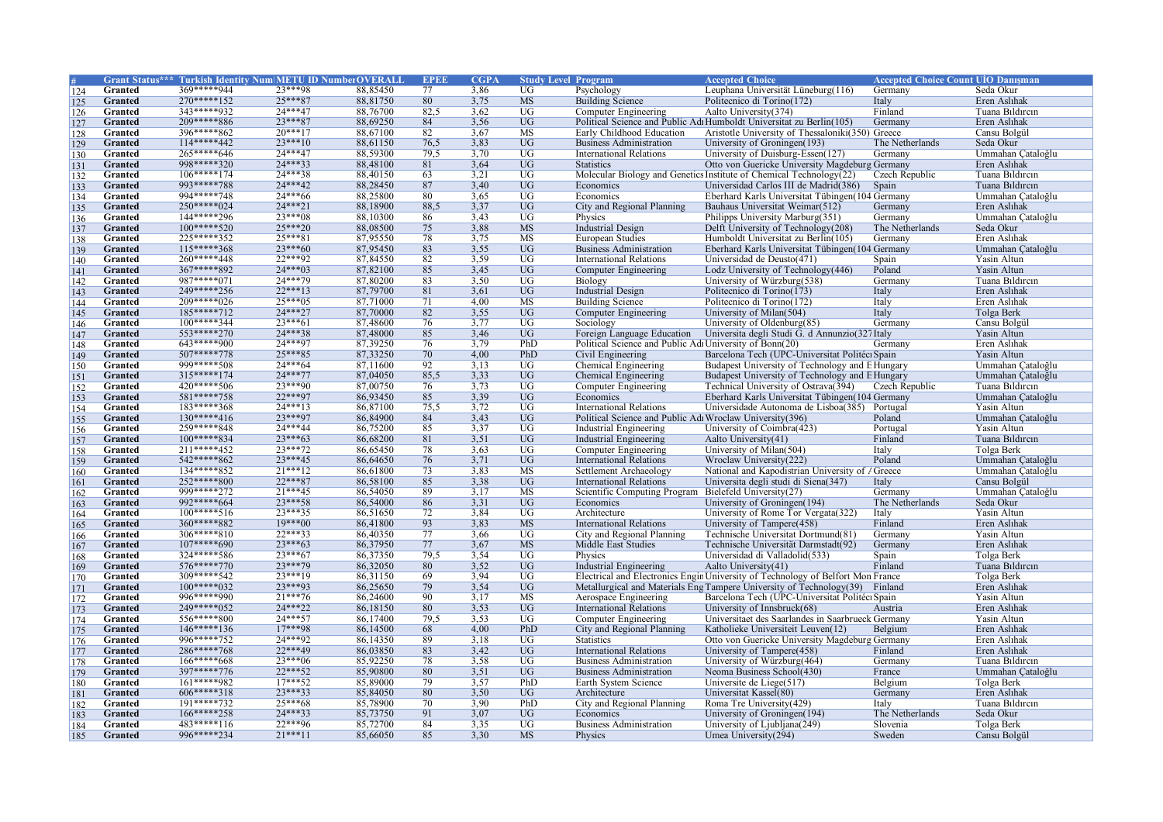|                |                |              | Grant Status*** Turkish Identity Num METU ID NumberOVERAL |          | <b>EPER</b> | <b>CGPA</b> | <b>Study Level Program</b> |                                                           | <b>Accepted Choice</b>                                                          | <b>Accepted Choice Count UIO Danisman</b> |                   |
|----------------|----------------|--------------|-----------------------------------------------------------|----------|-------------|-------------|----------------------------|-----------------------------------------------------------|---------------------------------------------------------------------------------|-------------------------------------------|-------------------|
| 124            | Granted        | 369*****944  | 23***98                                                   | 88,85450 | 77          | 3,86        | $\overline{UG}$            | Psychology                                                | Leuphana Universität Lüneburg(116)                                              | Germany                                   | Seda Okur         |
| 125            | Granted        | 270*****152  | 25***87                                                   | 88,81750 | 80          | 3,75        | <b>MS</b>                  | <b>Building Science</b>                                   | Politecnico di Torino(172)                                                      | Italy                                     | Eren Aslıhak      |
| 126            | Granted        | 343*****932  | $24***47$                                                 | 88,76700 | 82.5        | 3.62        | $\overline{UG}$            | Computer Engineering                                      | Aalto University(374)                                                           | Finland                                   | Tuana Bildircin   |
| 127            | Granted        | 209*****886  | $23***87$                                                 | 88,69250 | 84          | 3,56        | <b>UG</b>                  |                                                           | Political Science and Public Adı Humboldt Universitat zu Berlin(105)            | Germany                                   | Eren Aslıhak      |
| 128            | Granted        | 396*****862  | $20***17$                                                 | 88,67100 | 82          | 3,67        | MS                         | Early Childhood Education                                 | Aristotle University of Thessaloniki(350) Greece                                |                                           | Cansu Bolgül      |
| 129            | Granted        | 114*****442  | $23***10$                                                 | 88,61150 | 76,5        | 3,83        | UG                         | <b>Business Administration</b>                            | University of Groningen(193)                                                    | The Netherlands                           | Seda Okur         |
| 130            | Granted        | 265*****646  | 24***47                                                   | 88,59300 | 79.5        | 3,70        | $\overline{UG}$            | International Relations                                   | University of Duisburg-Essen(127)                                               | Germany                                   | Ummahan Çataloğlu |
| 131            | <b>Granted</b> | 998*****320  | $24***33$                                                 | 88,48100 | 81          | 3.64        | UG                         | <b>Statistics</b>                                         | Otto von Guericke University Magdeburg Germany                                  |                                           | Eren Aslıhak      |
| 132            | Granted        | $106****174$ | 24***38                                                   | 88,40150 | 63          | 3,21        | UG                         |                                                           | Molecular Biology and Genetics Institute of Chemical Technology(22)             | Czech Republic                            | Tuana Bildircin   |
| 133            | Granted        | 993*****788  | 24 *** 42                                                 | 88,28450 | 87          | 3,40        | UG                         | Economics                                                 | Universidad Carlos III de Madrid(386)                                           | Spain                                     | Tuana Bildircin   |
| 134            | Granted        | 994*****748  | $24***66$                                                 | 88,25800 | 80          | 3,65        | $\overline{UG}$            | Economics                                                 | Eberhard Karls Universitat Tübingen (104 Germany                                |                                           | Ummahan Çataloğlu |
| 135            | Granted        | 250*****024  | $24***21$                                                 | 88,18900 | 88,5        | 3,37        | $\overline{UG}$            | City and Regional Planning                                | Bauhaus Universitat Weimar(512)                                                 | Germany                                   | Eren Aslıhak      |
| 136            | Granted        | 144*****296  | 23***08                                                   | 88,10300 | 86          | 3,43        | UG                         | Physics                                                   | Philipps University Marburg(351)                                                | Germany                                   | Ummahan Cataloğlu |
| 137            | Granted        | $100****520$ | $25***20$                                                 | 88,08500 | 75          | 3,88        | <b>MS</b>                  | <b>Industrial Design</b>                                  | Delft University of Technology(208)                                             | The Netherlands                           | Seda Okur         |
| 138            | Granted        | 225*****352  | $25***81$                                                 | 87,95550 | 78          | 3,75        | MS                         | <b>European Studies</b>                                   | Humboldt Universitat zu Berlin(105)                                             | Germany                                   | Eren Aslıhak      |
| 139            | Granted        | $115****368$ | $23***60$                                                 | 87,95450 | 83          | 3,55        | UG                         | <b>Business Administration</b>                            | Eberhard Karls Universitat Tübingen (104 Germany                                |                                           | Ummahan Çataloğlu |
| 140            | Granted        | 260*****448  | $22***92$                                                 | 87,84550 | 82          | 3,59        | UG                         | <b>International Relations</b>                            | Universidad de Deusto(471)                                                      | Spain                                     | Yasin Altun       |
| 141            | Granted        | 367*****892  | $24***03$                                                 | 87,82100 | 85          | 3,45        | <b>UG</b>                  | <b>Computer Engineering</b>                               | Lodz University of Technology(446)                                              | Poland                                    | Yasin Altun       |
| 142            | Granted        | 987*****071  | 24***79                                                   | 87,80200 | 83          | 3,50        | $\overline{UG}$            | Biology                                                   | University of Würzburg(538)                                                     | Germany                                   | Tuana Bildircin   |
| 143            | <b>Granted</b> | 249*****256  | $22***13$                                                 | 87,79700 | 81          | 3,61        | $\overline{UG}$            | <b>Industrial Design</b>                                  | Politecnico di Torino(173)                                                      | Italy                                     | Eren Aslıhak      |
| 144            | Granted        | 209*****026  | $25***05$                                                 | 87,71000 | 71          | 4,00        | MS                         | <b>Building Science</b>                                   | Politecnico di Torino(172)                                                      | Italy                                     | Eren Aslıhak      |
| 145            | Granted        | $185***712$  | $24***27$                                                 | 87,70000 | 82          | 3,55        | $\overline{UG}$            | Computer Engineering                                      | University of Milan(504)                                                        | Italy                                     | Tolga Berk        |
| 146            | Granted        | 100*****344  | $23***61$                                                 | 87,48600 | 76          | 3,77        | $\overline{UG}$            | Sociology                                                 | University of Oldenburg(85)                                                     | Germany                                   | Cansu Bolgül      |
| 147            | Granted        | 553*****270  | $24***38$                                                 | 87,48000 | 85          | 3,46        | $\overline{UG}$            | Foreign Language Education                                | Universita degli Studi G. d Annunzio(327Italy                                   |                                           | Yasin Altun       |
| 148            | Granted        | $643****900$ | 24***97                                                   | 87,39250 | 76          | 3,79        | PhD                        | Political Science and Public Adı University of Bonn(20)   |                                                                                 | Germany                                   | Eren Aslıhak      |
| 149            | Granted        | $507****778$ | $25***85$                                                 | 87,33250 | 70          | 4,00        | PhD                        | Civil Engineering                                         | Barcelona Tech (UPC-Universitat Politéci Spain                                  |                                           | Yasin Altun       |
| 150            | Granted        | 999*****508  | $24***64$                                                 | 87,11600 | 92          | 3,13        | $\overline{UG}$            | Chemical Engineering                                      | Budapest University of Technology and E Hungary                                 |                                           | Ummahan Cataloğlu |
|                | Granted        | 315*****174  | 24***77                                                   | 87,04050 | 85,5        | 3,33        | UG                         | <b>Chemical Engineering</b>                               | Budapest University of Technology and E Hungary                                 |                                           | Ummahan Cataloğlu |
| 151<br>152     | Granted        | 420*****506  | 23 *** 90                                                 | 87,00750 | 76          | 3,73        | UG                         | Computer Engineering                                      | Technical University of Ostrava(394)                                            | Czech Republic                            | Tuana Bildircin   |
|                | Granted        | 581*****758  | $22***97$                                                 | 86,93450 | 85          | 3,39        | <b>UG</b>                  | Economics                                                 | Eberhard Karls Universitat Tübingen (104 Germany                                |                                           | Ummahan Çataloğlu |
| 153<br>154     | Granted        | 183*****368  | $24***13$                                                 | 86,87100 | 75,5        | 3,72        | UG                         | <b>International Relations</b>                            | Universidade Autonoma de Lisboa(385) Portugal                                   |                                           | Yasin Altun       |
| 155            | <b>Granted</b> | $130****416$ | 23***97                                                   | 86,84900 | 84          | 3,43        | <b>UG</b>                  | Political Science and Public Adı Wroclaw University (396) |                                                                                 | Poland                                    | Ummahan Cataloğlu |
| 156            | Granted        | 259*****848  | 24 *** 44                                                 | 86,75200 | 85          | 3,37        | $\overline{UG}$            | Industrial Engineering                                    | University of Coimbra(423)                                                      | Portugal                                  | Yasin Altun       |
| 157            | Granted        | 100*****834  | $23***63$                                                 | 86,68200 | 81          | 3,51        | $\overline{UG}$            | <b>Industrial Engineering</b>                             | Aalto University(41)                                                            | Finland                                   | Tuana Bildircin   |
| 158            | Granted        | 211*****452  | 23***72                                                   | 86,65450 | 78          | 3,63        | $\overline{UG}$            | Computer Engineering                                      | University of Milan(504)                                                        | Italy                                     | Tolga Berk        |
| 159            | Granted        | 542*****862  | $23***45$                                                 | 86,64650 | 76          | 3,71        | UG                         | <b>International Relations</b>                            | Wroclaw University(222)                                                         | Poland                                    | Ummahan Cataloğlu |
| 160            | Granted        | 134*****852  | $21***12$                                                 | 86,61800 | 73          | 3,83        | <b>MS</b>                  | Settlement Archaeology                                    | National and Kapodistrian University of / Greece                                |                                           | Ummahan Çataloğlu |
| 161            | Granted        | $252***800$  | $22***87$                                                 | 86,58100 | 85          | 3,38        | <b>UG</b>                  | <b>International Relations</b>                            | Universita degli studi di Siena(347)                                            | Italy                                     | Cansu Bolgül      |
| 162            | <b>Granted</b> | 999*****272  | $21***45$                                                 | 86,54050 | 89          | 3.17        | $\overline{\text{MS}}$     | Scientific Computing Program                              | Bielefeld University(27)                                                        | Germany                                   | Ummahan Cataloğlu |
| 163            | Granted        | 992*****664  | $23***58$                                                 | 86,54000 | 86          | 3,31        | <b>UG</b>                  | Economics                                                 | University of Groningen(194)                                                    | The Netherlands                           | Seda Okur         |
| 164            | Granted        | $100****516$ | $23***35$                                                 | 86,51650 | 72          | 3,84        | UG                         | Architecture                                              | University of Rome Tor Vergata(322)                                             | Italy                                     | Yasin Altun       |
| 165            | Granted        | 360*****882  | $19***00$                                                 | 86,41800 | 93          | 3,83        | <b>MS</b>                  | International Relations                                   | University of Tampere(458)                                                      | Finland                                   | Eren Aslıhak      |
| 166            | Granted        | $306****810$ | $22***33$                                                 | 86,40350 | 77          | 3.66        | <b>UG</b>                  | City and Regional Planning                                | Technische Universitat Dortmund(81)                                             | Germany                                   | Yasin Altun       |
| 167            | Granted        | $107****690$ | $23***63$                                                 | 86,37950 | 77          | 3,67        | <b>MS</b>                  | Middle East Studies                                       | Technische Universität Darmstadt(92)                                            | Germany                                   | Eren Aslıhak      |
| 168            | Granted        | 324*****586  | $23***67$                                                 | 86,37350 | 79.5        | 3,54        | $\overline{UG}$            | Physics                                                   | Universidad di Valladolid(533)                                                  | Spain                                     | Tolga Berk        |
| 169            | Granted        | 576*****770  | $23***79$                                                 | 86,32050 | 80          | 3,52        | $\overline{UG}$            | <b>Industrial Engineering</b>                             | Aalto University(41)                                                            | Finland                                   | Tuana Bildircin   |
| 170            | Granted        | 309*****542  | $23***19$                                                 | 86,31150 | 69          | 3.94        | $\overline{UG}$            |                                                           | Electrical and Electronics Engin University of Technology of Belfort Mon France |                                           | Tolga Berk        |
| <sup>171</sup> | Granted        | $100****032$ | $23***93$                                                 | 86,25650 | 79          | 3,54        | <b>UG</b>                  |                                                           | Metallurgical and Materials Eng Tampere University of Technology(39) Finland    |                                           | Eren Aslıhak      |
| 172            | Granted        | 996*****990  | $21***76$                                                 | 86,24600 | 90          | 3,17        | <b>MS</b>                  | Aerospace Engineering                                     | Barcelona Tech (UPC-Universitat Politéci Spain                                  |                                           | Yasin Altun       |
| 173            | Granted        | 249*****052  | 24***22                                                   | 86,18150 | 80          | 3,53        | UG                         | <b>International Relations</b>                            | University of Innsbruck(68)                                                     | Austria                                   | Eren Aslıhak      |
| 174            | Granted        | 556*****800  | $24***57$                                                 | 86,17400 | 79.5        | 3.53        | <b>UG</b>                  | Computer Engineering                                      | Universitaet des Saarlandes in Saarbrueck Germany                               |                                           | Yasin Altun       |
| 175            | Granted        | 146*****136  | $17***98$                                                 | 86,14500 | 68          | 4,00        | PhD                        | City and Regional Planning                                | Katholieke Universiteit Leuven(12)                                              | Belgium                                   | Eren Aslıhak      |
| 176            | Granted        | 996*****752  | 24***92                                                   | 86,14350 | 89          | 3,18        | UG                         | <b>Statistics</b>                                         | Otto von Guericke University Magdeburg Germany                                  |                                           | Eren Aslıhak      |
| 177            | Granted        | 286*****768  | 22***49                                                   | 86,03850 | 83          | 3,42        | $\overline{UG}$            | International Relations                                   | University of Tampere(458)                                                      | Finland                                   | Eren Aslıhak      |
| 178            | Granted        | 166*****668  | $23***06$                                                 | 85,92250 | 78          | 3.58        | $\overline{UG}$            | <b>Business Administration</b>                            | University of Würzburg(464)                                                     | Germany                                   | Tuana Bildircin   |
| 179            | <b>Granted</b> | 397*****776  | 22***52                                                   | 85,90800 | 80          | 3,51        | $\overline{UG}$            | <b>Business Administration</b>                            | Neoma Business School(430)                                                      | France                                    | Ummahan Çataloğlu |
| 180            | Granted        | 161*****982  | $17***52$                                                 | 85,89000 | 79          | 3,57        | PhD                        | Earth System Science                                      | Universite de Liege(517)                                                        | Belgium                                   | Tolga Berk        |
| 181            | Granted        | $606****318$ | $23***33$                                                 | 85,84050 | 80          | 3,50        | <b>UG</b>                  | Architecture                                              | Universitat Kassel(80)                                                          | Germany                                   | Eren Aslıhak      |
| 182            | Granted        | 191*****732  | $25***68$                                                 | 85,78900 | 70          | 3,90        | PhD                        | City and Regional Planning                                | Roma Tre University(429)                                                        | Italy                                     | Tuana Bildircin   |
| 183            | Granted        | 166*****258  | $24***33$                                                 | 85,73750 | 91          | 3,07        | UG                         | Economics                                                 | University of Groningen(194)                                                    | The Netherlands                           | Seda Okur         |
| 184            | Granted        | 483*****116  | $22***96$                                                 | 85,72700 | 84          | 3,35        | UG                         | Business Administration                                   | University of Ljubljana(249)                                                    | Slovenia                                  | Tolga Berk        |
| 185            | Granted        | 996*****234  | $21***11$                                                 | 85,66050 | 85          | 3,30        | <b>MS</b>                  | Physics                                                   | Umea University(294)                                                            | Sweden                                    | Cansu Bolgül      |
|                |                |              |                                                           |          |             |             |                            |                                                           |                                                                                 |                                           |                   |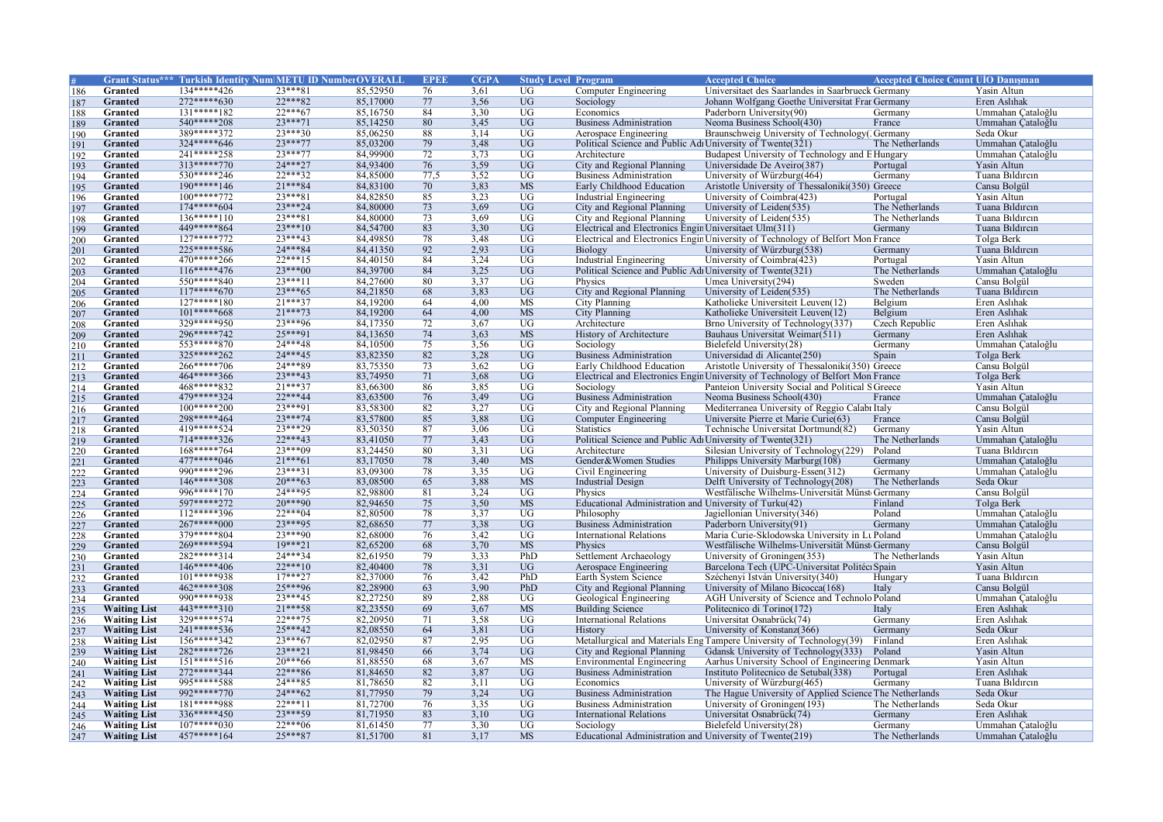|                   |                     |                | Grant Status*** Turkish Identity Num METU ID Number OVERALI |          | <b>EPEF</b> | <b>CGPA</b> |                 | <b>Study Level Program</b>                                 | <b>Accepted Choice</b>                                                          | <b>Accepted Choice Count UIO Danisman</b> |                   |
|-------------------|---------------------|----------------|-------------------------------------------------------------|----------|-------------|-------------|-----------------|------------------------------------------------------------|---------------------------------------------------------------------------------|-------------------------------------------|-------------------|
| 186               | Granted             | 134*****426    | $23***81$                                                   | 85,52950 | 76          | 3,61        | UG              | Computer Engineering                                       | Universitaet des Saarlandes in Saarbrueck Germany                               |                                           | Yasin Altun       |
| 187               | Granted             | 272*****630    | 22***82                                                     | 85,17000 | 77          | 3,56        | UG              | Sociology                                                  | Johann Wolfgang Goethe Universitat Fran Germany                                 |                                           | Eren Aslıhak      |
| 188               | Granted             | $131****182$   | $22***67$                                                   | 85,16750 | 84          | 3,30        | $\overline{UG}$ | Economics                                                  | Paderborn University(90)                                                        | Germany                                   | Ummahan Çataloğlu |
| 189               | Granted             | 540*****208    | $23***71$                                                   | 85,14250 | 80          | 3,45        | $\overline{UG}$ | <b>Business Administration</b>                             | Neoma Business School(430)                                                      | France                                    | Ummahan Çataloğlu |
| 190               | Granted             | 389*****372    | $23***30$                                                   | 85,06250 | 88          | 3,14        | UG              | Aerospace Engineering                                      | Braunschweig University of Technology('Germany                                  |                                           | Seda Okur         |
| 191               | <b>Granted</b>      | 324*****646    | $23***77$                                                   | 85,03200 | 79          | 3,48        | $\overline{UG}$ | Political Science and Public Adı University of Twente(321) |                                                                                 | The Netherlands                           | Ummahan Cataloğlu |
| 192               | Granted             | 241*****258    | $23***77$                                                   | 84,99900 | 72          | 3,73        | $\overline{UG}$ | Architecture                                               | Budapest University of Technology and E Hungary                                 |                                           | Ummahan Çataloğlu |
| 193               | Granted             | 313*****770    | 24***27                                                     | 84,93400 | 76          | 3,59        | $\overline{UG}$ | City and Regional Planning                                 | Universidade De Aveiro(387)                                                     | Portugal                                  | Yasin Altun       |
| 194               | Granted             | 530*****246    | 22***32                                                     | 84,85000 | 77,5        | 3,52        | $\overline{UG}$ | <b>Business Administration</b>                             | University of Würzburg(464)                                                     | Germany                                   | Tuana Bildircin   |
|                   | Granted             | 190*****146    | $21***84$                                                   | 84,83100 | 70          | 3,83        | <b>MS</b>       | Early Childhood Education                                  | Aristotle University of Thessaloniki(350) Greece                                |                                           | Cansu Bolgül      |
| 195               |                     | $100****772$   | $23***81$                                                   |          | 85          |             | $\overline{UG}$ |                                                            |                                                                                 |                                           | Yasin Altun       |
| 196               | Granted             |                |                                                             | 84,82850 |             | 3,23        |                 | Industrial Engineering                                     | University of Coimbra(423)                                                      | Portugal                                  |                   |
| 197               | Granted             | 174*****604    | 23***24                                                     | 84,80000 | 73          | 3,69        | $\overline{UG}$ | City and Regional Planning                                 | University of Leiden(535)                                                       | The Netherlands                           | Tuana Bildircin   |
| 198               | Granted             | $136****110$   | $23***81$                                                   | 84,80000 | 73          | 3,69        | UG              | City and Regional Planning                                 | University of Leiden(535)                                                       | The Netherlands                           | Tuana Bildircin   |
| 199               | Granted             | 449*****864    | $23***10$                                                   | 84,54700 | 83          | 3,30        | UG              | Electrical and Electronics Engin Universitaet Ulm(311)     |                                                                                 | Germany                                   | Tuana Bildircin   |
| 200               | Granted             | $127***772$    | $23***43$                                                   | 84,49850 | 78          | 3.48        | $\overline{UG}$ |                                                            | Electrical and Electronics Engin University of Technology of Belfort Mon France |                                           | Tolga Berk        |
| 201               | Granted             | 225*****586    | 24***84                                                     | 84,41350 | 92          | 2,93        | $\overline{UG}$ | Biology                                                    | University of Würzburg(538)                                                     | Germany                                   | Tuana Bildircin   |
| 202               | Granted             | 470*****266    | $22***15$                                                   | 84,40150 | 84          | 3,24        | UG              | Industrial Engineering                                     | University of Coimbra(423)                                                      | Portugal                                  | Yasin Altun       |
| 203               | Granted             | $116****476$   | $23***00$                                                   | 84,39700 | 84          | 3,25        | $\overline{UG}$ | Political Science and Public Adı University of Twente(321) |                                                                                 | The Netherlands                           | Ummahan Çataloğlu |
| 204               | Granted             | $550***840$    | $23***11$                                                   | 84,27600 | 80          | 3,37        | $\overline{UG}$ | Physics                                                    | Umea University(294)                                                            | Sweden                                    | Cansu Bolgül      |
| 205               | <b>Granted</b>      | $117****670$   | $23***65$                                                   | 84,21850 | 68          | 3,83        | UG              | City and Regional Planning                                 | University of Leiden(535)                                                       | The Netherlands                           | Tuana Bildircin   |
| 206               | Granted             | 127*****180    | $21***37$                                                   | 84,19200 | 64          | 4,00        | <b>MS</b>       | <b>City Planning</b>                                       | Katholieke Universiteit Leuven(12)                                              | Belgium                                   | Eren Aslıhak      |
| 207               | Granted             | $101****668$   | $21***73$                                                   | 84,19200 | 64          | 4,00        | <b>MS</b>       | <b>City Planning</b>                                       | Katholieke Universiteit Leuven(12)                                              | Belgium                                   | Eren Aslıhak      |
| 208               | Granted             | 329*****950    | 23***96                                                     | 84,17350 | 72          | 3,67        | $\overline{UG}$ | Architecture                                               | Brno University of Technology(337)                                              | Czech Republic                            | Eren Aslıhak      |
| 209               | <b>Granted</b>      | 296*****742    | $25***91$                                                   | 84,13650 | 74          | 3,63        | <b>MS</b>       | History of Architecture                                    | Bauhaus Universitat Weimar(511)                                                 | Germany                                   | Eren Aslıhak      |
| 210               | Granted             | $553***870$    | $24***48$                                                   | 84,10500 | 75          | 3,56        | UG              | Sociology                                                  | Bielefeld University(28)                                                        | Germany                                   | Ummahan Çataloğlu |
|                   | Granted             | 325*****262    | 24***45                                                     | 83,82350 | 82          | 3,28        | <b>UG</b>       | <b>Business Administration</b>                             | Universidad di Alicante(250)                                                    | Spain                                     | Tolga Berk        |
| 211               | Granted             | 266*****706    | 24 *** 89                                                   | 83,75350 | 73          | 3.62        | UG              | Early Childhood Education                                  | Aristotle University of Thessaloniki(350) Greece                                |                                           | Cansu Bolgül      |
| $\frac{212}{213}$ |                     | 464*****366    | $23***43$                                                   | 83,74950 | 71          | 3,68        | $\overline{UG}$ |                                                            |                                                                                 |                                           |                   |
|                   | Granted             | 468*****832    |                                                             |          |             |             |                 |                                                            | Electrical and Electronics Engin University of Technology of Belfort Mon France |                                           | Tolga Berk        |
| 214               | Granted             | 479*****324    | $21***37$                                                   | 83,66300 | 86          | 3,85        | UG              | Sociology                                                  | Panteion University Social and Political SGreece                                |                                           | Yasin Altun       |
| 215               | Granted             |                | $22***44$                                                   | 83,63500 | 76          | 3,49        | UG              | <b>Business Administration</b>                             | Neoma Business School(430)                                                      | France                                    | Ummahan Çataloğlu |
| 216               | Granted             | $100****200$   | $23***91$                                                   | 83,58300 | 82          | 3,27        | $\overline{UG}$ | City and Regional Planning                                 | Mediterranea University of Reggio Calabi Italy                                  |                                           | Cansu Bolgül      |
| 217               | <b>Granted</b>      | 298*****464    | $23***74$                                                   | 83,57800 | 85          | 3.88        | UG              | <b>Computer Engineering</b>                                | Universite Pierre et Marie Curie(63)                                            | France                                    | Cansu Bolgül      |
| 218               | Granted             | 419*****524    | 23***29                                                     | 83,50350 | 87          | 3,06        | UG              | <b>Statistics</b>                                          | Technische Universitat Dortmund(82)                                             | Germany                                   | Yasin Altun       |
| 219               | Granted             | 714*****326    | $22***43$                                                   | 83,41050 | 77          | 3,43        | UG              | Political Science and Public Adı University of Twente(321) |                                                                                 | The Netherlands                           | Ummahan Cataloğlu |
| $\frac{220}{221}$ | Granted             | 168*****764    | $23***09$                                                   | 83,24450 | 80          | 3,31        | UG              | Architecture                                               | Silesian University of Technology(229)                                          | Poland                                    | Tuana Bildircin   |
|                   | Granted             | 477*****046    | $21***61$                                                   | 83,17050 | 78          | 3,40        | <b>MS</b>       | Gender&Women Studies                                       | Philipps University Marburg(108)                                                | Germany                                   | Ummahan Cataloğlu |
| 222               | Granted             | 990*****296    | $23***31$                                                   | 83,09300 | 78          | 3,35        | UG              | Civil Engineering                                          | University of Duisburg-Essen(312)                                               | Germany                                   | Ummahan Çataloğlu |
| 223               | Granted             | 146*****308    | $20***63$                                                   | 83,08500 | 65          | 3,88        | <b>MS</b>       | <b>Industrial Design</b>                                   | Delft University of Technology(208)                                             | The Netherlands                           | Seda Okur         |
| 224               | Granted             | 996*****170    | 24***95                                                     | 82,98800 | 81          | 3,24        | $\overline{UG}$ | Physics                                                    | Westfälische Wilhelms-Universität Münst Germany                                 |                                           | Cansu Bolgül      |
| 225               | Granted             | 597*****272    | $20***90$                                                   | 82,94650 | 75          | 3,50        | <b>MS</b>       | Educational Administration and University of Turku(42)     |                                                                                 | Finland                                   | Tolga Berk        |
| $\overline{226}$  | <b>Granted</b>      | 112*****396    | $22***04$                                                   | 82,80500 | 78          | 3,37        | UG              | Philosophy                                                 | Jagiellonian University(346)                                                    | Poland                                    | Ummahan Cataloğlu |
| 227               | Granted             | $267****000$   | $23***95$                                                   | 82,68650 | 77          | 3,38        | UG              | <b>Business Administration</b>                             | Paderborn University(91)                                                        | Germany                                   | Ummahan Çataloğlu |
|                   | Granted             | 379*****804    | 23 *** 90                                                   | 82,68000 | 76          | 3,42        | $\overline{UG}$ | <b>International Relations</b>                             | Maria Curie-Sklodowska University in Lt Poland                                  |                                           | Ummahan Cataloğlu |
| $\frac{228}{229}$ | Granted             | 269*****594    | $19***21$                                                   | 82,65200 | 68          | 3,70        | <b>MS</b>       | Physics                                                    | Westfälische Wilhelms-Universität Münst Germany                                 |                                           | Cansu Bolgül      |
| 230               | Granted             | 282*****314    | 24***34                                                     | 82,61950 | 79          | 3,33        | PhD             | Settlement Archaeology                                     | University of Groningen(353)                                                    | The Netherlands                           | Yasin Altun       |
| 231               | <b>Granted</b>      | $146****406$   | $22***10$                                                   | 82,40400 | 78          | 3,31        | $\overline{UG}$ | Aerospace Engineering                                      | Barcelona Tech (UPC-Universitat Politéci Spain                                  |                                           | Yasin Altun       |
| 232               | Granted             | $101****938$   | $17***27$                                                   | 82,37000 | 76          | 3,42        | PhD             | Earth System Science                                       | Széchenyi István University (340)                                               | Hungary                                   | Tuana Bildircin   |
| 233               | <b>Granted</b>      | 462*****308    | 25***96                                                     | 82,28900 | 63          | 3,90        | PhD             | City and Regional Planning                                 | University of Milano Bicocca(168)                                               | Italy                                     | Cansu Bolgül      |
|                   | Granted             | 990*****938    | $23***45$                                                   | 82,27250 | 89          | 2,88        | UG              | Geological Engineering                                     | AGH University of Science and Technolo Poland                                   |                                           | Ummahan Çataloğlu |
| 234               | <b>Waiting List</b> | 443*****310    | $21***58$                                                   | 82,23550 | 69          | 3,67        | <b>MS</b>       |                                                            | Politecnico di Torino(172)                                                      |                                           | Eren Aslıhak      |
| 235               |                     | 329*****574    | $22***75$                                                   | 82,20950 | 71          |             | $\overline{UG}$ | <b>Building Science</b>                                    |                                                                                 | Italy                                     | Eren Aslıhak      |
| 236               | <b>Waiting List</b> |                |                                                             |          |             | 3,58        |                 | <b>International Relations</b>                             | Universitat Osnabrück(74)                                                       | Germany                                   |                   |
| 237               | <b>Waiting List</b> | 241*****536    | $25***42$                                                   | 82,08550 | 64          | 3,81        | UG              | History                                                    | University of Konstanz(366)                                                     | Germany                                   | Seda Okur         |
| 238               | <b>Waiting List</b> | 156*****342    | $23***67$                                                   | 82,02950 | 87          | 2,95        | UG              |                                                            | Metallurgical and Materials Eng Tampere University of Technology(39)            | Finland                                   | Eren Aslıhak      |
| 239               | <b>Waiting List</b> | 282*****726    | $23***21$                                                   | 81,98450 | 66          | 3,74        | UG              | City and Regional Planning                                 | Gdansk University of Technology(333)                                            | Poland                                    | Yasin Altun       |
| 240               | <b>Waiting List</b> | $151****516$   | $20***66$                                                   | 81,88550 | 68          | 3.67        | <b>MS</b>       | <b>Environmental Engineering</b>                           | Aarhus University School of Engineering Denmark                                 |                                           | Yasin Altun       |
| 241               | <b>Waiting List</b> | 272*****344    | $22***86$                                                   | 81,84650 | 82          | 3,87        | UG              | <b>Business Administration</b>                             | Instituto Politecnico de Setubal(338)                                           | Portugal                                  | Eren Aslıhak      |
| 242               | <b>Waiting List</b> | 995*****588    | 24***85                                                     | 81,78650 | 82          | 3,11        | UG              | Economics                                                  | University of Würzburg(465)                                                     | Germany                                   | Tuana Bildircin   |
| 243               | <b>Waiting List</b> | 992 **** * 770 | $24***62$                                                   | 81,77950 | 79          | 3,24        | <b>UG</b>       | <b>Business Administration</b>                             | The Hague University of Applied Science The Netherlands                         |                                           | Seda Okur         |
| 244               | <b>Waiting List</b> | 181*****988    | $22***11$                                                   | 81,72700 | 76          | 3,35        | $\overline{UG}$ | <b>Business Administration</b>                             | University of Groningen(193)                                                    | The Netherlands                           | Seda Okur         |
| 245               | <b>Waiting List</b> | 336*****450    | 23***59                                                     | 81,71950 | 83          | 3,10        | UG              | <b>International Relations</b>                             | Universitat Osnabrück(74)                                                       | Germany                                   | Eren Aslıhak      |
| 246               | <b>Waiting List</b> | $107****030$   | $22***06$                                                   | 81,61450 | 77          | 3,30        | $\overline{UG}$ | Sociology                                                  | Bielefeld University(28)                                                        | Germany                                   | Ummahan Cataloğlu |
| 247               | <b>Waiting List</b> | 457*****164    | $25***87$                                                   | 81,51700 | 81          | 3,17        | <b>MS</b>       | Educational Administration and University of Twente(219)   |                                                                                 | The Netherlands                           | Ummahan Cataloğlu |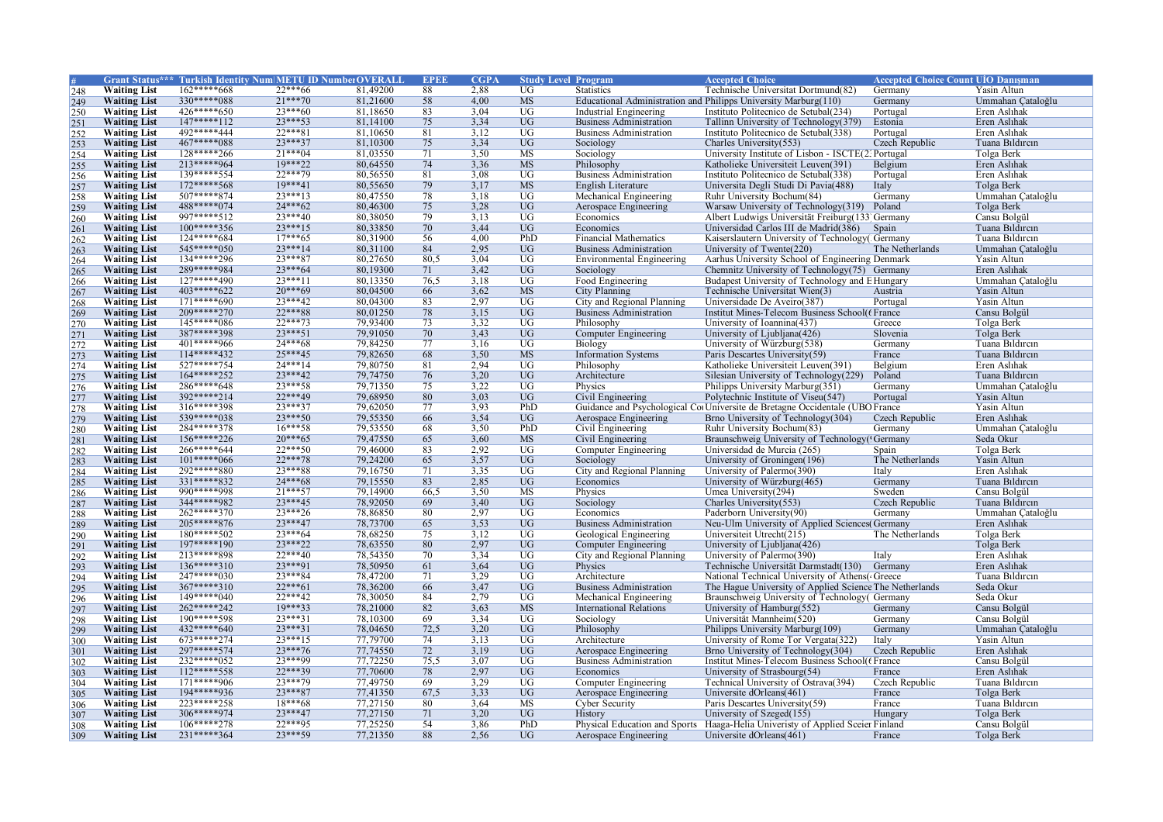|                   |                     |               | <b>Grant Status*** Turkish Identity Num METU ID Number OVERALI</b> |                      | <b>EPEI</b> | <b>CGPA</b>  | <b>Study Level Program</b> |                                  | <b>Accepted Choice</b>                                                         | <b>Accepted Choice Count UIO Danisman</b> |                   |
|-------------------|---------------------|---------------|--------------------------------------------------------------------|----------------------|-------------|--------------|----------------------------|----------------------------------|--------------------------------------------------------------------------------|-------------------------------------------|-------------------|
| 248               | <b>Waiting List</b> | $162****668$  | $22***66$                                                          | 81,49200             | 88          | 2,88         | $\overline{UG}$            | <b>Statistics</b>                | Technische Universitat Dortmund(82)                                            | Germany                                   | Yasin Altun       |
| 249               | <b>Waiting List</b> | 330*****088   | $21***70$                                                          | 81,21600             | 58          | 4,00         | <b>MS</b>                  |                                  | Educational Administration and Philipps University Marburg(110)                | Germany                                   | Ummahan Çataloğlu |
| 250               | <b>Waiting List</b> | $426****650$  | $23***60$                                                          | 81,18650             | 83          | 3.04         | $\overline{UG}$            | Industrial Engineering           | Instituto Politecnico de Setubal(234)                                          | Portugal                                  | Eren Aslıhak      |
| 251               | <b>Waiting List</b> | $147***112$   | $23***53$                                                          | 81,14100             | 75          | 3,34         | UG                         | Business Administration          | Tallinn University of Technology (379)                                         | Estonia                                   | Eren Aslıhak      |
| 252               | <b>Waiting List</b> | 492*****444   | $22***81$                                                          | 81,10650             | 81          | 3,12         | <b>UG</b>                  | <b>Business Administration</b>   | Instituto Politecnico de Setubal(338)                                          | Portugal                                  | Eren Aslıhak      |
| 253               | <b>Waiting List</b> | 467*****088   | $23***37$                                                          | 81,10300             | 75          | 3,34         | <b>UG</b>                  | Sociology                        | Charles University(553)                                                        | Czech Republic                            | Tuana Bildircin   |
| 254               | <b>Waiting List</b> | 128*****266   | $21***04$                                                          | 81,03550             | 71          | 3,50         | <b>MS</b>                  | Sociology                        | University Institute of Lisbon - ISCTE(2, Portugal                             |                                           | Tolga Berk        |
| 255               | <b>Waiting List</b> | 213*****964   | $19***22$                                                          | 80,64550             | 74          | 3,36         | <b>MS</b>                  | Philosophy                       | Katholieke Universiteit Leuven(391)                                            | Belgium                                   | Eren Aslıhak      |
|                   | <b>Waiting List</b> | 139*****554   | 22***79                                                            | 80,56550             | 81          | 3,08         | $\overline{UG}$            | <b>Business Administration</b>   | Instituto Politecnico de Setubal(338)                                          | Portugal                                  | Eren Aslıhak      |
| 256<br>257        | <b>Waiting List</b> | $172****568$  | $19***41$                                                          | 80,55650             | 79          | 3,17         | <b>MS</b>                  | English Literature               | Universita Degli Studi Di Pavia(488)                                           | Italy                                     | Tolga Berk        |
|                   | <b>Waiting List</b> | $507****874$  | $23***13$                                                          | 80,47550             | 78          | 3,18         | UG                         | Mechanical Engineering           | Ruhr University Bochum(84)                                                     | Germany                                   | Ummahan Çataloğlu |
| $\frac{258}{259}$ | <b>Waiting List</b> | 488*****074   | $24***62$                                                          | 80,46300             | 75          | 3,28         | <b>UG</b>                  | Aerospace Engineering            | Warsaw University of Technology(319)                                           | Poland                                    | Tolga Berk        |
|                   |                     | 997*****512   | $23***40$                                                          | 80,38050             | 79          |              | <b>UG</b>                  | Economics                        |                                                                                |                                           |                   |
| 260               | <b>Waiting List</b> |               |                                                                    |                      |             | 3,13         |                            |                                  | Albert Ludwigs Universität Freiburg (133 Germany                               |                                           | Cansu Bolgül      |
| 261               | <b>Waiting List</b> | $100****356$  | $23***15$                                                          | 80,33850             | 70          | 3,44         | UG                         | Economics                        | Universidad Carlos III de Madrid(386)                                          | Spain                                     | Tuana Bildircin   |
| 262               | <b>Waiting List</b> | $124****684$  | $17***65$                                                          | 80,31900             | 56          | 4.00         | PhD                        | <b>Financial Mathematics</b>     | Kaiserslautern University of Technology CGermany                               |                                           | Tuana Bildircin   |
| 263               | <b>Waiting List</b> | 545*****050   | $23***14$                                                          | 80,31100             | 84          | 2,95         | UG                         | <b>Business Administration</b>   | University of Twente(220)                                                      | The Netherlands                           | Ummahan Çataloğlu |
| 264               | <b>Waiting List</b> | 134*****296   | $23***87$                                                          | 80,27650             | 80,5        | 3,04         | UG                         | <b>Environmental Engineering</b> | Aarhus University School of Engineering Denmark                                |                                           | Yasin Altun       |
| 265               | <b>Waiting List</b> | 289*****984   | $23***64$                                                          | 80,19300             | 71          | 3,42         | UG                         | Sociology                        | Chemnitz University of Technology(75) Germany                                  |                                           | Eren Aslıhak      |
| 266               | <b>Waiting List</b> | $127****490$  | $23***11$                                                          | 80,13350             | 76,5        | 3,18         | $\overline{UG}$            | Food Engineering                 | Budapest University of Technology and E Hungary                                |                                           | Ummahan Çataloğlu |
| 267               | <b>Waiting List</b> | $403****622$  | $20***69$                                                          | 80,04500             | 66          | 3,62         | <b>MS</b>                  | <b>City Planning</b>             | Technische Universitat Wien(3)                                                 | Austria                                   | Yasin Altun       |
| 268               | <b>Waiting List</b> | $171****690$  | $23***42$                                                          | 80,04300             | 83          | 2,97         | UG                         | City and Regional Planning       | Universidade De Aveiro(387)                                                    | Portugal                                  | Yasin Altun       |
| 269               | <b>Waiting List</b> | 209*****270   | 22***88                                                            | 80,01250             | 78          | 3,15         | UG                         | <b>Business Administration</b>   | Institut Mines-Telecom Business School(f France                                |                                           | Cansu Bolgül      |
| 270               | <b>Waiting List</b> | $145****086$  | $22***73$                                                          | 79,93400             | 73          | 3,32         | $\overline{UG}$            | Philosophy                       | University of Ioannina(437)                                                    | Greece                                    | Tolga Berk        |
| 271               | <b>Waiting List</b> | 387*****398   | $23***51$                                                          | 79,91050             | 70          | 3,43         | $\overline{UG}$            | Computer Engineering             | University of Ljubljana(426)                                                   | Slovenia                                  | Tolga Berk        |
| 272               | <b>Waiting List</b> | 401*****966   | $24***68$                                                          | 79,84250             | 77          | 3,16         | <b>UG</b>                  | Biology                          | University of Würzburg(538)                                                    | Germany                                   | Tuana Bildircin   |
| 273               | <b>Waiting List</b> | $114****432$  | $25***45$                                                          | 79,82650             | 68          | 3,50         | <b>MS</b>                  | <b>Information Systems</b>       | Paris Descartes University(59)                                                 | France                                    | Tuana Bildircin   |
| 274               | <b>Waiting List</b> | 527*****754   | $24***14$                                                          | 79,80750             | 81          | 2.94         | <b>UG</b>                  | Philosophy                       | Katholieke Universiteit Leuven(391)                                            | Belgium                                   | Eren Aslıhak      |
| 275               | <b>Waiting List</b> | 164*****252   | $23***42$                                                          | 79,74750             | 76          | 3,20         | <b>UG</b>                  | Architecture                     | Silesian University of Technology(229)                                         | Poland                                    | Tuana Bildircin   |
|                   | <b>Waiting List</b> | 286*****648   | $23***58$                                                          | 79,71350             | 75          | 3,22         | UG                         | Physics                          | Philipps University Marburg(351)                                               | Germany                                   | Ummahan Çataloğlu |
| $\frac{276}{277}$ | <b>Waiting List</b> | 392*****214   | $22***49$                                                          | 79,68950             | 80          | 3,03         | UG                         | Civil Engineering                | Polytechnic Institute of Viseu(547)                                            | Portugal                                  | Yasin Altun       |
| 278               | <b>Waiting List</b> | 316*****398   | $23***37$                                                          | 79,62050             | 77          | 3,93         | PhD                        |                                  | Guidance and Psychological CotUniversite de Bretagne Occidentale (UBO France   |                                           | Yasin Altun       |
| 279               | <b>Waiting List</b> | 539*****038   | $23***50$                                                          | 79,55350             | 66          | 3,54         | $\overline{UG}$            | Aerospace Engineering            | Brno University of Technology(304)                                             | Czech Republic                            | Eren Aslıhak      |
| 280               | <b>Waiting List</b> | 284*****378   | $16***58$                                                          | 79,53550             | 68          | 3,50         | PhD                        | Civil Engineering                | Ruhr University Bochum(83)                                                     | Germany                                   | Ummahan Çataloğlu |
|                   | <b>Waiting List</b> | 156*****226   | $20***65$                                                          | 79,47550             | 65          | 3,60         | <b>MS</b>                  | Civil Engineering                | Braunschweig University of Technology ('Germany                                |                                           | Seda Okur         |
| 281               | <b>Waiting List</b> | 266*****644   | $22***50$                                                          | 79,46000             | 83          | 2,92         | $\overline{UG}$            | Computer Engineering             | Universidad de Murcia (265)                                                    | Spain                                     | Tolga Berk        |
| 282               | <b>Waiting List</b> | $101****066$  | $22***78$                                                          | 79,24200             | 65          | 3,57         | <b>UG</b>                  | Sociology                        | University of Groningen(196)                                                   | The Netherlands                           | Yasin Altun       |
| 283               |                     | 292*****880   | 23 *** 88                                                          | 79,16750             |             | 3,35         | UG                         |                                  | University of Palermo(390)                                                     |                                           | Eren Aslıhak      |
| 284               | <b>Waiting List</b> | 331 ***** 832 | $24***68$                                                          |                      | 71          |              | <b>UG</b>                  | City and Regional Planning       |                                                                                | Italy                                     |                   |
| 285               | <b>Waiting List</b> | 990*****998   | $21***57$                                                          | 79,15550<br>79,14900 | 83          | 2,85<br>3,50 | $\overline{\text{MS}}$     | Economics                        | University of Würzburg(465)                                                    | Germany                                   | Tuana Bildircin   |
| 286               | <b>Waiting List</b> |               |                                                                    |                      | 66.5        |              |                            | Physics                          | Umea University(294)                                                           | Sweden                                    | Cansu Bolgül      |
| 287               | <b>Waiting List</b> | 344*****982   | $23***45$                                                          | 78,92050             | 69          | 3,40         | <b>UG</b>                  | Sociology                        | Charles University(553)                                                        | Czech Republic                            | Tuana Bildircin   |
| 288               | <b>Waiting List</b> | 262*****370   | $23***26$                                                          | 78,86850             | 80          | 2,97         | <b>UG</b>                  | Economics                        | Paderborn University(90)                                                       | Germany                                   | Ummahan Çataloğlu |
| 289               | <b>Waiting List</b> | 205*****876   | $23***47$                                                          | 78,73700             | 65          | 3,53         | <b>UG</b>                  | <b>Business Administration</b>   | Neu-Ulm University of Applied Sciences(Germany                                 |                                           | Eren Aslıhak      |
| $\frac{290}{291}$ | <b>Waiting List</b> | 180*****502   | $23***64$                                                          | 78,68250             | 75          | 3,12         | <b>UG</b>                  | Geological Engineering           | Universiteit Utrecht(215)                                                      | The Netherlands                           | Tolga Berk        |
|                   | <b>Waiting List</b> | 197*****190   | $23***22$                                                          | 78,63550             | 80          | 2,97         | <b>UG</b>                  | <b>Computer Engineering</b>      | University of Ljubljana(426)                                                   |                                           | Tolga Berk        |
|                   | <b>Waiting List</b> | 213*****898   | $22***40$                                                          | 78,54350             | 70          | 3,34         | $\overline{UG}$            | City and Regional Planning       | University of Palermo(390)                                                     | Italy                                     | Eren Aslıhak      |
| 293               | <b>Waiting List</b> | $136****310$  | $23***91$                                                          | 78,50950             | 61          | 3,64         | <b>UG</b>                  | Physics                          | Technische Universität Darmstadt(130)                                          | Germany                                   | Eren Aslıhak      |
| 294               | <b>Waiting List</b> | $247****030$  | 23***84                                                            | 78,47200             | 71          | 3,29         | <b>UG</b>                  | Architecture                     | National Technical University of Athens (Greece                                |                                           | Tuana Bildircin   |
| 295               | <b>Waiting List</b> | $367****310$  | $22***61$                                                          | 78,36200             | 66          | 3,47         | <b>UG</b>                  | <b>Business Administration</b>   | The Hague University of Applied Science The Netherlands                        |                                           | Seda Okur         |
| 296               | <b>Waiting List</b> | 149*****040   | $22***42$                                                          | 78,30050             | 84          | 2,79         | $\overline{UG}$            | Mechanical Engineering           | Braunschweig University of Technology (Germany                                 |                                           | Seda Okur         |
| 297               | <b>Waiting List</b> | 262*****242   | $19***33$                                                          | 78,21000             | 82          | 3,63         | <b>MS</b>                  | <b>International Relations</b>   | University of Hamburg(552)                                                     | Germany                                   | Cansu Bolgül      |
|                   | <b>Waiting List</b> | 190*****598   | $23***31$                                                          | 78,10300             | 69          | 3,34         | $\overline{UG}$            | Sociology                        | Universität Mannheim(520)                                                      | Germany                                   | Cansu Bolgül      |
| $\frac{298}{299}$ | <b>Waiting List</b> | 432*****640   | $23***31$                                                          | 78,04650             | 72,5        | 3,20         | <b>UG</b>                  | Philosophy                       | Philipps University Marburg(109)                                               | Germany                                   | Ummahan Cataloğlu |
| 300               | <b>Waiting List</b> | 673*****274   | $23***15$                                                          | 77,79700             | 74          | 3,13         | <b>UG</b>                  | Architecture                     | University of Rome Tor Vergata(322)                                            | Italy                                     | Yasin Altun       |
| 301               | <b>Waiting List</b> | 297*****574   | $23***76$                                                          | 77,74550             | 72          | 3,19         | UG                         | Aerospace Engineering            | Brno University of Technology (304)                                            | Czech Republic                            | Eren Aslıhak      |
| 302               | <b>Waiting List</b> | 232*****052   | 23 *** 99                                                          | 77,72250             | 75,5        | 3.07         | $\overline{UG}$            | <b>Business Administration</b>   | Institut Mines-Telecom Business School((France                                 |                                           | Cansu Bolgül      |
| 303               | <b>Waiting List</b> | 112*****558   | 22***39                                                            | 77,70600             | 78          | 2,97         | <b>UG</b>                  | Economics                        | University of Strasbourg(54)                                                   | France                                    | Eren Aslıhak      |
| 304               | <b>Waiting List</b> | $171****906$  | $23***79$                                                          | 77,49750             | 69          | 3,29         | $\overline{UG}$            | Computer Engineering             | Technical University of Ostrava(394)                                           | Czech Republic                            | Tuana Bildircin   |
|                   | <b>Waiting List</b> | 194*****936   | $23***87$                                                          | 77,41350             | 67,5        | 3,33         | <b>UG</b>                  | Aerospace Engineering            | Universite dOrleans(461)                                                       | France                                    | Tolga Berk        |
| 305               | <b>Waiting List</b> | 223*****258   | $18***68$                                                          | 77,27150             | 80          | 3,64         | <b>MS</b>                  | Cyber Security                   | Paris Descartes University(59)                                                 | France                                    | Tuana Bildircin   |
| 306               | <b>Waiting List</b> | 306*****974   | $23***47$                                                          | 77,27150             | 71          | 3,20         | <b>UG</b>                  |                                  | University of Szeged(155)                                                      | Hungary                                   | Tolga Berk        |
| 307               |                     | 106*****278   | $22***95$                                                          |                      |             |              |                            | History                          |                                                                                |                                           |                   |
| 308               | <b>Waiting List</b> | $231****364$  | $23***59$                                                          | 77,25250             | 54          | 3,86         | PhD                        |                                  | Physical Education and Sports Haaga-Helia Univeristy of Applied Sceier Finland |                                           | Cansu Bolgül      |
| 309               | <b>Waiting List</b> |               |                                                                    | 77,21350             | 88          | 2.56         | <b>UG</b>                  | Aerospace Engineering            | Universite dOrleans(461)                                                       | France                                    | Tolga Berk        |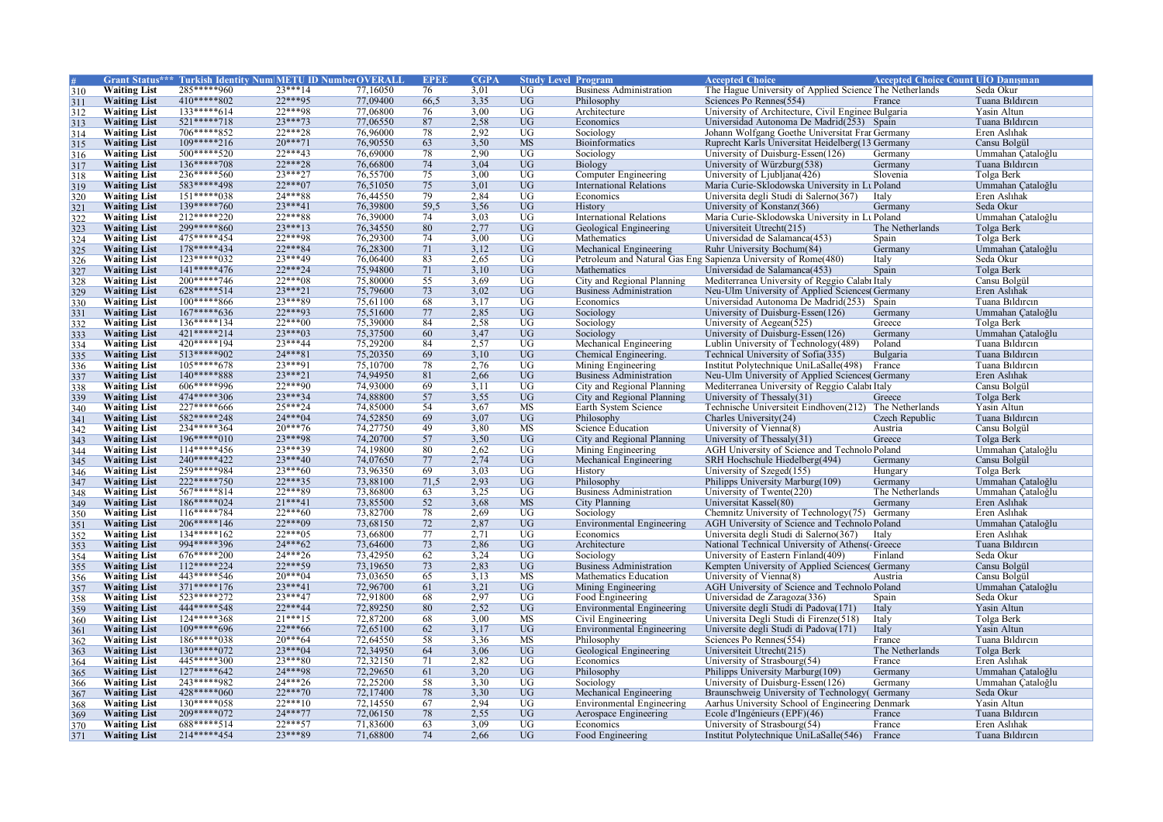|                   |                     | Grant Status*** Turkish Identity Num METU ID NumberOVERALI |           |          | <b>EPEE</b> | CGP/ | <b>Study Level Program</b> |                                  | <b>Accepted Choice</b>                                         | <b>Accepted Choice Count UIO Danisman</b> |                   |
|-------------------|---------------------|------------------------------------------------------------|-----------|----------|-------------|------|----------------------------|----------------------------------|----------------------------------------------------------------|-------------------------------------------|-------------------|
| 310               | <b>Waiting List</b> | 285*****960                                                | $23***14$ | 77,16050 | 76          | 3.01 | UG                         | <b>Business Administration</b>   | The Hague University of Applied Science The Netherlands        |                                           | Seda Okur         |
| 311               | <b>Waiting List</b> | 410*****802                                                | $22***95$ | 77,09400 | 66,5        | 3,35 | $\overline{UG}$            | Philosophy                       | Sciences Po Rennes(554)                                        | France                                    | Tuana Bildircin   |
| 312               | <b>Waiting List</b> | $133****614$                                               | $22***98$ | 77,06800 | 76          | 3.00 | <b>UG</b>                  | Architecture                     | University of Architecture, Civil Enginee Bulgaria             |                                           | Yasin Altun       |
| 313               | <b>Waiting List</b> | $521****718$                                               | $23***73$ | 77,06550 | 87          | 2,58 | <b>UG</b>                  | Economics                        | Universidad Autonoma De Madrid(253) Spain                      |                                           | Tuana Bildircin   |
| 314               | <b>Waiting List</b> | 706*****852                                                | $22***28$ | 76,96000 | 78          | 2,92 | UG                         | Sociology                        | Johann Wolfgang Goethe Universitat Frar Germany                |                                           | Eren Aslıhak      |
| 315               | <b>Waiting List</b> | $109****216$                                               | $20***71$ | 76,90550 | 63          | 3,50 | <b>MS</b>                  | <b>Bioinformatics</b>            | Ruprecht Karls Universitat Heidelberg (13 Germany              |                                           | Cansu Bolgül      |
| 316               | <b>Waiting List</b> | 500*****520                                                | $22***43$ | 76,69000 | 78          | 2,90 | UG                         | Sociology                        | University of Duisburg-Essen(126)                              | Germany                                   | Ummahan Çataloğlu |
| 317               | <b>Waiting List</b> | $136****708$                                               | $22***28$ | 76,66800 | 74          | 3,04 | <b>UG</b>                  | Biology                          | University of Würzburg(538)                                    | Germany                                   | Tuana Bildircin   |
| 318               | <b>Waiting List</b> | 236*****560                                                | $23***27$ | 76,55700 | 75          | 3,00 | <b>UG</b>                  | Computer Engineering             | University of Ljubljana(426)                                   | Slovenia                                  | Tolga Berk        |
| 319               | <b>Waiting List</b> | 583*****498                                                | $22***07$ | 76,51050 | 75          | 3,01 | <b>UG</b>                  | <b>International Relations</b>   | Maria Curie-Sklodowska University in Lt Poland                 |                                           | Ummahan Çataloğlu |
|                   | <b>Waiting List</b> | $151****038$                                               | 24***88   | 76,44550 | 79          | 2.84 | <b>UG</b>                  | Economics                        | Universita degli Studi di Salerno(367)                         | Italy                                     | Eren Aslıhak      |
| 320               | <b>Waiting List</b> | 139*****760                                                | $23***41$ | 76,39800 | 59.5        | 3,56 | <b>UG</b>                  | History                          | University of Konstanz(366)                                    | Germany                                   | Seda Okur         |
| 321               | <b>Waiting List</b> | 212*****220                                                | 22***88   | 76,39000 | 74          | 3,03 | $\overline{UG}$            |                                  | Maria Curie-Sklodowska University in Lt Poland                 |                                           | Ummahan Çataloğlu |
| 322               |                     | 299*****860                                                | $23***13$ | 76,34550 | 80          |      | $\overline{UG}$            | <b>International Relations</b>   |                                                                | The Netherlands                           |                   |
| $\frac{323}{324}$ | <b>Waiting List</b> |                                                            |           |          |             | 2,77 |                            | Geological Engineering           | Universiteit Utrecht(215)                                      |                                           | Tolga Berk        |
|                   | <b>Waiting List</b> | 475*****454                                                | 22***98   | 76,29300 | 74          | 3.00 | <b>UG</b>                  | Mathematics                      | Universidad de Salamanca(453)                                  | Spain                                     | Tolga Berk        |
| 325               | <b>Waiting List</b> | 178*****434                                                | $22***84$ | 76,28300 | 71          | 3,12 | <b>UG</b>                  | Mechanical Engineering           | Ruhr University Bochum(84)                                     | Germany                                   | Ummahan Cataloğlu |
| 326               | <b>Waiting List</b> | $123****032$                                               | 23***49   | 76,06400 | 83          | 2,65 | $\overline{UG}$            |                                  | Petroleum and Natural Gas Eng Sapienza University of Rome(480) | Italy                                     | Seda Okur         |
| 327               | <b>Waiting List</b> | $141****476$                                               | $22***24$ | 75,94800 | 71          | 3,10 | $\overline{UG}$            | Mathematics                      | Universidad de Salamanca(453)                                  | Spain                                     | Tolga Berk        |
| 328               | <b>Waiting List</b> | 200*****746                                                | $22***08$ | 75,80000 | 55          | 3,69 | UG                         | City and Regional Planning       | Mediterranea University of Reggio Calabı Italy                 |                                           | Cansu Bolgül      |
| 329               | <b>Waiting List</b> | 628*****514                                                | $23***21$ | 75,79600 | 73          | 3,02 | <b>UG</b>                  | <b>Business Administration</b>   | Neu-Ulm University of Applied Sciences Germany                 |                                           | Eren Aslıhak      |
| 330               | <b>Waiting List</b> | $100****866$                                               | $73***89$ | 75,61100 | 68          | 3,17 | UG                         | Economics                        | Universidad Autonoma De Madrid(253) Spain                      |                                           | Tuana Bildircin   |
| 331               | <b>Waiting List</b> | $167****636$                                               | $22***93$ | 75,51600 | 77          | 2,85 | $\overline{UG}$            | Sociology                        | University of Duisburg-Essen(126)                              | Germany                                   | Ummahan Çataloğlu |
| 332               | <b>Waiting List</b> | $136****134$                                               | $22***00$ | 75,39000 | 84          | 2,58 | $\overline{UG}$            | Sociology                        | University of Aegean(525)                                      | Greece                                    | Tolga Berk        |
| $rac{1}{333}$     | <b>Waiting List</b> | 421*****214                                                | 23***03   | 75,37500 | 60          | 3,47 | $\overline{UG}$            | Sociology                        | University of Duisburg-Essen(126)                              | Germany                                   | Ummahan Çataloğlu |
| 334               | <b>Waiting List</b> | 420*****194                                                | $23***44$ | 75,29200 | 84          | 2,57 | UG                         | Mechanical Engineering           | Lublin University of Technology(489)                           | Poland                                    | Tuana Bildircin   |
| 335               | <b>Waiting List</b> | $513****902$                                               | $24***81$ | 75,20350 | 69          | 3,10 | <b>UG</b>                  | Chemical Engineering.            | Technical University of Sofia(335)                             | Bulgaria                                  | Tuana Bildircin   |
| 336               | <b>Waiting List</b> | $105****678$                                               | 23***91   | 75,10700 | 78          | 2,76 | $\overline{UG}$            | Mining Engineering               | Institut Polytechnique UniLaSalle(498)                         | France                                    | Tuana Bildircin   |
| 337               | <b>Waiting List</b> | 140*****888                                                | $23***21$ | 74,94950 | 81          | 2,66 | <b>UG</b>                  | <b>Business Administration</b>   | Neu-Ulm University of Applied Sciences(Germany                 |                                           | Eren Aslıhak      |
| 338               | <b>Waiting List</b> | 606*****996                                                | 22***90   | 74,93000 | 69          | 3,11 | $\overline{UG}$            | City and Regional Planning       | Mediterranea University of Reggio Calabi Italy                 |                                           | Cansu Bolgül      |
| 339               | <b>Waiting List</b> | 474*****306                                                | $23***34$ | 74,88800 | 57          | 3,55 | $\overline{UG}$            | City and Regional Planning       | University of Thessaly $(31)$                                  | Greece                                    | Tolga Berk        |
| 340               | <b>Waiting List</b> | 227*****666                                                | $25***24$ | 74,85000 | 54          | 3.67 | <b>MS</b>                  | Earth System Science             | Technische Universiteit Eindhoven(212) The Netherlands         |                                           | Yasin Altun       |
| 341               | <b>Waiting List</b> | 582*****248                                                | $24***04$ | 74,52850 | 69          | 3,07 | $\overline{UG}$            | Philosophy                       | Charles University(24)                                         | Czech Republic                            | Tuana Bildircin   |
|                   | <b>Waiting List</b> | 234*****364                                                | $20***76$ | 74,27750 | 49          | 3,80 | <b>MS</b>                  | Science Education                | University of Vienna(8)                                        | Austria                                   | Cansu Bolgül      |
| 342               | <b>Waiting List</b> | $196****010$                                               | 23***98   | 74,20700 | 57          | 3,50 | <b>UG</b>                  | City and Regional Planning       | University of Thessaly $(31)$                                  | Greece                                    | Tolga Berk        |
| 343<br>344        | <b>Waiting List</b> | $114****456$                                               | 23 *** 39 | 74,19800 | 80          | 2.62 | UG                         | Mining Engineering               | AGH University of Science and Technolo Poland                  |                                           | Ummahan Cataloğlu |
|                   | <b>Waiting List</b> | 240*****422                                                | $23***40$ | 74,07650 | 77          | 2,74 | <b>UG</b>                  | Mechanical Engineering           | SRH Hochschule Hiedelberg(494)                                 | Germany                                   | Cansu Bolgül      |
| 345               | <b>Waiting List</b> | 259*****984                                                | $23***60$ | 73,96350 | 69          | 3,03 | UG                         | History                          | University of Szeged(155)                                      | Hungary                                   | Tolga Berk        |
| 346               | <b>Waiting List</b> | $222****750$                                               | $22***35$ | 73,88100 | 71.5        | 2.93 | <b>UG</b>                  |                                  |                                                                | Germany                                   | Ummahan Cataloğlu |
| 347               |                     | 567*****814                                                | 22***89   | 73,86800 |             | 3,25 | $\overline{UG}$            | Philosophy                       | Philipps University Marburg(109)                               |                                           |                   |
| 348               | <b>Waiting List</b> |                                                            |           |          | 63          |      |                            | <b>Business Administration</b>   | University of Twente(220)                                      | The Netherlands                           | Ummahan Çataloğlu |
| 349               | <b>Waiting List</b> | $186****024$                                               | $21***41$ | 73,85500 | 52          | 3,68 | <b>MS</b>                  | <b>City Planning</b>             | Universitat Kassel(80)                                         | Germany                                   | Eren Aslıhak      |
| 350               | <b>Waiting List</b> | $116****784$                                               | $22***60$ | 73,82700 | 78          | 2,69 | $\overline{UG}$            | Sociology                        | Chemnitz University of Technology(75)                          | Germany                                   | Eren Aslıhak      |
| 351               | <b>Waiting List</b> | $206****146$                                               | $22***09$ | 73,68150 | 72          | 2,87 | <b>UG</b>                  | Environmental Engineering        | AGH University of Science and Technolo Poland                  |                                           | Ummahan Çataloğlu |
| 352               | <b>Waiting List</b> | $134****162$                                               | $22***05$ | 73,66800 | 77          | 2.71 | <b>UG</b>                  | Economics                        | Universita degli Studi di Salerno(367)                         | Italy                                     | Eren Aslıhak      |
| 353               | <b>Waiting List</b> | 994*****396                                                | $24***62$ | 73,64600 | 73          | 2,86 | $\overline{UG}$            | Architecture                     | National Technical University of Athens(Greece                 |                                           | Tuana Bildircin   |
| 354               | <b>Waiting List</b> | 676*****200                                                | $24***26$ | 73,42950 | 62          | 3,24 | <b>UG</b>                  | Sociology                        | University of Eastern Finland(409)                             | Finland                                   | Seda Okur         |
| 355               | <b>Waiting List</b> | $112****224$                                               | $22***59$ | 73,19650 | 73          | 2,83 | UG                         | <b>Business Administration</b>   | Kempten University of Applied Sciences(Germany                 |                                           | Cansu Bolgül      |
| 356               | <b>Waiting List</b> | 443*****546                                                | $20***04$ | 73,03650 | 65          | 3,13 | <b>MS</b>                  | Mathematics Education            | University of Vienna(8)                                        | Austria                                   | Cansu Bolgül      |
| 357               | <b>Waiting List</b> | $371***176$                                                | $23***41$ | 72,96700 | 61          | 3,21 | <b>UG</b>                  | Mining Engineering               | AGH University of Science and Technolo Poland                  |                                           | Ummahan Cataloğlu |
| 358               | <b>Waiting List</b> | 523*****272                                                | $23***47$ | 72,91800 | 68          | 2,97 | $\overline{UG}$            | Food Engineering                 | Universidad de Zaragoza(336)                                   | Spain                                     | Seda Okur         |
| 359               | <b>Waiting List</b> | 444*****548                                                | $22***44$ | 72,89250 | 80          | 2,52 | $\overline{UG}$            | <b>Environmental Engineering</b> | Universite degli Studi di Padova(171)                          | Italy                                     | Yasin Altun       |
| 360               | <b>Waiting List</b> | 124*****368                                                | $21***15$ | 72,87200 | 68          | 3,00 | MS                         | Civil Engineering                | Universita Degli Studi di Firenze(518)                         | Italy                                     | Tolga Berk        |
| 361               | <b>Waiting List</b> | 109*****696                                                | $22***66$ | 72,65100 | 62          | 3,17 | <b>UG</b>                  | <b>Environmental Engineering</b> | Universite degli Studi di Padova(171)                          | Italy                                     | Yasin Altun       |
| 362               | <b>Waiting List</b> | $186****038$                                               | $20***64$ | 72,64550 | 58          | 3,36 | <b>MS</b>                  | Philosophy                       | Sciences Po Rennes(554)                                        | France                                    | Tuana Bildircin   |
| 363               | <b>Waiting List</b> | $130****072$                                               | $23***04$ | 72,34950 | 64          | 3,06 | $\overline{UG}$            | Geological Engineering           | Universiteit Utrecht(215)                                      | The Netherlands                           | Tolga Berk        |
| 364               | <b>Waiting List</b> | 445*****300                                                | $23***80$ | 72,32150 | 71          | 2.82 | $\overline{UG}$            | Economics                        | University of Strasbourg(54)                                   | France                                    | Eren Aslıhak      |
| 365               | <b>Waiting List</b> | $127****642$                                               | 24***98   | 72,29650 | 61          | 3,20 | $\overline{UG}$            | Philosophy                       | Philipps University Marburg(109)                               | Germany                                   | Ummahan Çataloğlu |
| 366               | <b>Waiting List</b> | 243*****982                                                | $24***26$ | 72,25200 | 58          | 3,30 | <b>UG</b>                  | Sociology                        | University of Duisburg-Essen(126)                              | Germany                                   | Ummahan Cataloğlu |
| 367               | <b>Waiting List</b> | $428****060$                                               | $22***70$ | 72,17400 | 78          | 3,30 | <b>UG</b>                  | Mechanical Engineering           | Braunschweig University of Technology( Germany                 |                                           | Seda Okur         |
| 368               | <b>Waiting List</b> | $130****058$                                               | $22***10$ | 72,14550 | 67          | 2,94 | $\overline{UG}$            | <b>Environmental Engineering</b> | Aarhus University School of Engineering Denmark                |                                           | Yasin Altun       |
| 369               | <b>Waiting List</b> | 209*****072                                                | $24***77$ | 72,06150 | 78          | 2,55 | <b>UG</b>                  | Aerospace Engineering            | Ecole d'Ingénieurs (EPF)(46)                                   | France                                    | Tuana Bildircin   |
|                   | <b>Waiting List</b> | 688*****514                                                | $22***57$ | 71,83600 | 63          | 3.09 | $\overline{UG}$            | Economics                        | University of Strasbourg(54)                                   | France                                    | Eren Aslıhak      |
| 370               |                     | 214*****454                                                | $23***89$ |          | 74          |      |                            |                                  |                                                                |                                           |                   |
| 371               | <b>Waiting List</b> |                                                            |           | 71,68800 |             | 2.66 | <b>UG</b>                  | Food Engineering                 | Institut Polytechnique UniLaSalle(546)                         | France                                    | Tuana Bildircin   |